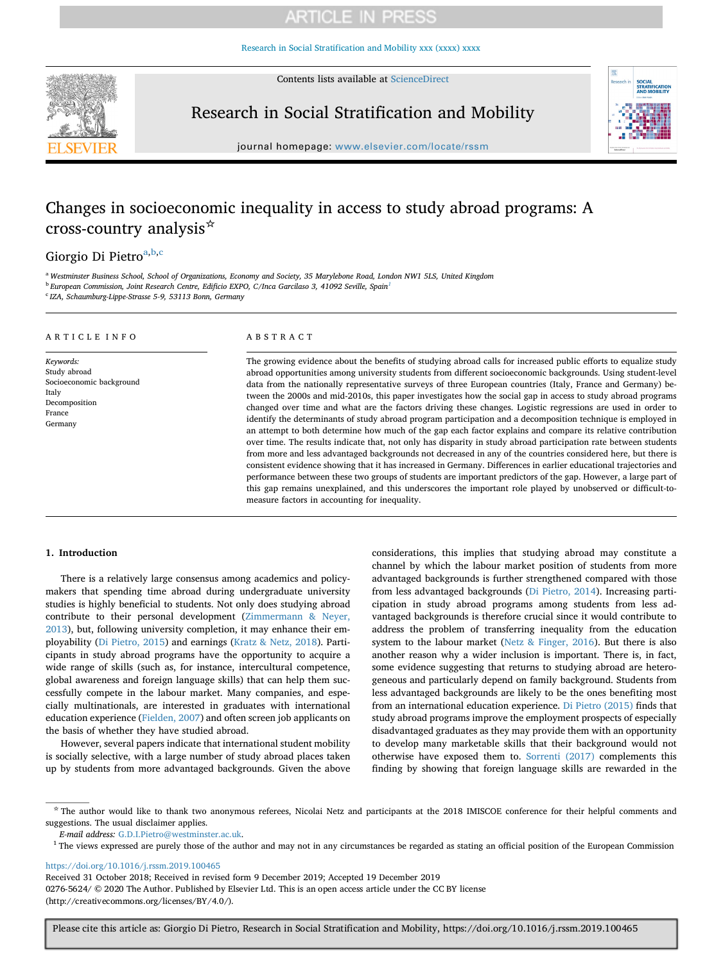[Research in Social Stratification and Mobility xxx \(xxxx\) xxxx](https://doi.org/10.1016/j.rssm.2019.100465)

Contents lists available at [ScienceDirect](http://www.sciencedirect.com/science/journal/02765624)



Research in Social Stratification and Mobility



journal homepage: [www.elsevier.com/locate/rssm](https://www.elsevier.com/locate/rssm)

# Changes in socioeconomic inequality in access to study abroad programs: A cross-country analysis☆

## Giorgio Di Pietro<sup>a[,b,](#page-0-1)[c](#page-0-2)</sup>

<span id="page-0-0"></span><sup>a</sup> *Westminster Business School, School of Organizations, Economy and Society, 35 Marylebone Road, London NW1 5LS, United Kingdom*

<span id="page-0-1"></span><sup>b</sup> *European Commission, Joint Research Centre, Edificio EXPO, C/Inca Garcilaso 3, 41092 Seville, Spain[1](#page-0-3)*

<span id="page-0-2"></span><sup>c</sup> *IZA, Schaumburg-Lippe-Strasse 5-9, 53113 Bonn, Germany*

### ARTICLE INFO

*Keywords:* Study abroad Socioeconomic background Italy Decomposition France Germany

### ABSTRACT

The growing evidence about the benefits of studying abroad calls for increased public efforts to equalize study abroad opportunities among university students from different socioeconomic backgrounds. Using student-level data from the nationally representative surveys of three European countries (Italy, France and Germany) between the 2000s and mid-2010s, this paper investigates how the social gap in access to study abroad programs changed over time and what are the factors driving these changes. Logistic regressions are used in order to identify the determinants of study abroad program participation and a decomposition technique is employed in an attempt to both determine how much of the gap each factor explains and compare its relative contribution over time. The results indicate that, not only has disparity in study abroad participation rate between students from more and less advantaged backgrounds not decreased in any of the countries considered here, but there is consistent evidence showing that it has increased in Germany. Differences in earlier educational trajectories and performance between these two groups of students are important predictors of the gap. However, a large part of this gap remains unexplained, and this underscores the important role played by unobserved or difficult-tomeasure factors in accounting for inequality.

### <span id="page-0-4"></span>**1. Introduction**

There is a relatively large consensus among academics and policymakers that spending time abroad during undergraduate university studies is highly beneficial to students. Not only does studying abroad contribute to their personal development [\(Zimmermann & Neyer,](#page-15-0) [2013\)](#page-15-0), but, following university completion, it may enhance their employability [\(Di Pietro, 2015\)](#page-15-1) and earnings ([Kratz & Netz, 2018](#page-15-2)). Participants in study abroad programs have the opportunity to acquire a wide range of skills (such as, for instance, intercultural competence, global awareness and foreign language skills) that can help them successfully compete in the labour market. Many companies, and especially multinationals, are interested in graduates with international education experience [\(Fielden, 2007](#page-15-3)) and often screen job applicants on the basis of whether they have studied abroad.

However, several papers indicate that international student mobility is socially selective, with a large number of study abroad places taken up by students from more advantaged backgrounds. Given the above considerations, this implies that studying abroad may constitute a channel by which the labour market position of students from more advantaged backgrounds is further strengthened compared with those from less advantaged backgrounds [\(Di Pietro, 2014](#page-15-4)). Increasing participation in study abroad programs among students from less advantaged backgrounds is therefore crucial since it would contribute to address the problem of transferring inequality from the education system to the labour market ([Netz & Finger, 2016\)](#page-15-5). But there is also another reason why a wider inclusion is important. There is, in fact, some evidence suggesting that returns to studying abroad are heterogeneous and particularly depend on family background. Students from less advantaged backgrounds are likely to be the ones benefiting most from an international education experience. [Di Pietro \(2015\)](#page-15-1) finds that study abroad programs improve the employment prospects of especially disadvantaged graduates as they may provide them with an opportunity to develop many marketable skills that their background would not otherwise have exposed them to. [Sorrenti \(2017\)](#page-15-6) complements this finding by showing that foreign language skills are rewarded in the

*E-mail address:* [G.D.I.Pietro@westminster.ac.uk.](mailto:G.D.I.Pietro@westminster.ac.uk)

<https://doi.org/10.1016/j.rssm.2019.100465>

Received 31 October 2018; Received in revised form 9 December 2019; Accepted 19 December 2019 0276-5624/ © 2020 The Author. Published by Elsevier Ltd. This is an open access article under the CC BY license (http://creativecommons.org/licenses/BY/4.0/).

<sup>☆</sup> The author would like to thank two anonymous referees, Nicolai Netz and participants at the 2018 IMISCOE conference for their helpful comments and suggestions. The usual disclaimer applies.

<span id="page-0-3"></span> $1$  The views expressed are purely those of the author and may not in any circumstances be regarded as stating an official position of the European Commission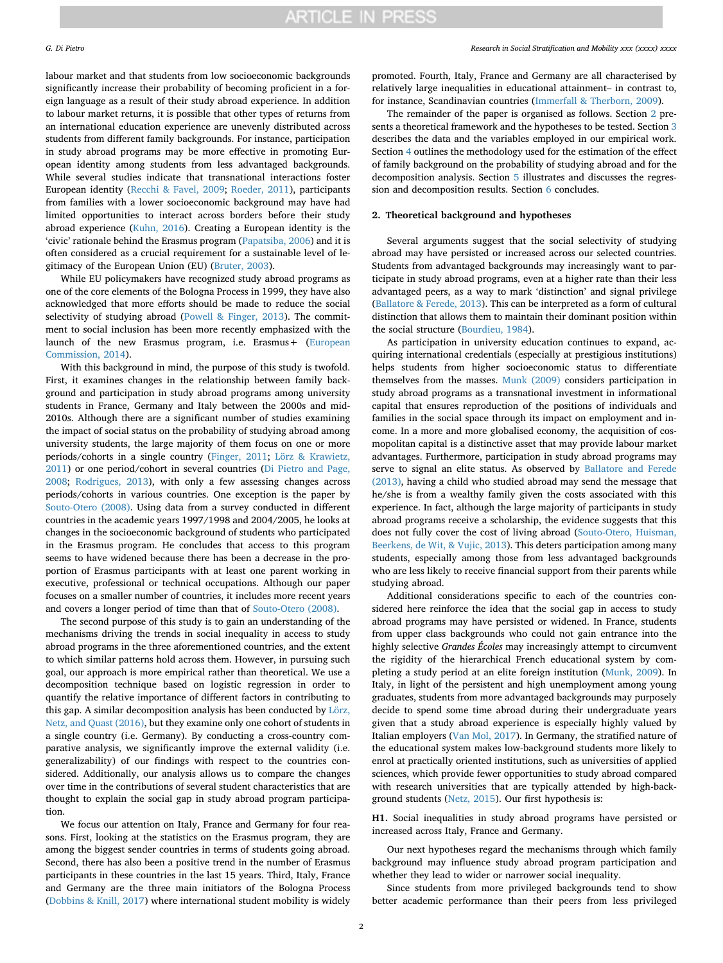labour market and that students from low socioeconomic backgrounds significantly increase their probability of becoming proficient in a foreign language as a result of their study abroad experience. In addition to labour market returns, it is possible that other types of returns from an international education experience are unevenly distributed across students from different family backgrounds. For instance, participation in study abroad programs may be more effective in promoting European identity among students from less advantaged backgrounds. While several studies indicate that transnational interactions foster European identity ([Recchi & Favel, 2009](#page-15-7); [Roeder, 2011\)](#page-15-8), participants from families with a lower socioeconomic background may have had limited opportunities to interact across borders before their study abroad experience ([Kuhn, 2016\)](#page-15-9). Creating a European identity is the 'civic' rationale behind the Erasmus program ([Papatsiba, 2006\)](#page-15-10) and it is often considered as a crucial requirement for a sustainable level of legitimacy of the European Union (EU) [\(Bruter, 2003\)](#page-15-11).

While EU policymakers have recognized study abroad programs as one of the core elements of the Bologna Process in 1999, they have also acknowledged that more efforts should be made to reduce the social selectivity of studying abroad ([Powell & Finger, 2013](#page-15-12)). The commitment to social inclusion has been more recently emphasized with the launch of the new Erasmus program, i.e. Erasmus + [\(European](#page-15-13) [Commission, 2014](#page-15-13)).

With this background in mind, the purpose of this study is twofold. First, it examines changes in the relationship between family background and participation in study abroad programs among university students in France, Germany and Italy between the 2000s and mid-2010s. Although there are a significant number of studies examining the impact of social status on the probability of studying abroad among university students, the large majority of them focus on one or more periods/cohorts in a single country [\(Finger, 2011;](#page-15-14) [Lörz & Krawietz,](#page-15-15) [2011\)](#page-15-15) or one period/cohort in several countries ([Di Pietro and Page,](#page-15-16) [2008;](#page-15-16) [Rodrigues, 2013](#page-15-17)), with only a few assessing changes across periods/cohorts in various countries. One exception is the paper by [Souto-Otero \(2008\)](#page-15-18). Using data from a survey conducted in different countries in the academic years 1997/1998 and 2004/2005, he looks at changes in the socioeconomic background of students who participated in the Erasmus program. He concludes that access to this program seems to have widened because there has been a decrease in the proportion of Erasmus participants with at least one parent working in executive, professional or technical occupations. Although our paper focuses on a smaller number of countries, it includes more recent years and covers a longer period of time than that of [Souto-Otero \(2008\).](#page-15-18)

The second purpose of this study is to gain an understanding of the mechanisms driving the trends in social inequality in access to study abroad programs in the three aforementioned countries, and the extent to which similar patterns hold across them. However, in pursuing such goal, our approach is more empirical rather than theoretical. We use a decomposition technique based on logistic regression in order to quantify the relative importance of different factors in contributing to this gap. A similar decomposition analysis has been conducted by [Lörz,](#page-15-19) [Netz, and Quast \(2016\),](#page-15-19) but they examine only one cohort of students in a single country (i.e. Germany). By conducting a cross-country comparative analysis, we significantly improve the external validity (i.e. generalizability) of our findings with respect to the countries considered. Additionally, our analysis allows us to compare the changes over time in the contributions of several student characteristics that are thought to explain the social gap in study abroad program participation.

We focus our attention on Italy, France and Germany for four reasons. First, looking at the statistics on the Erasmus program, they are among the biggest sender countries in terms of students going abroad. Second, there has also been a positive trend in the number of Erasmus participants in these countries in the last 15 years. Third, Italy, France and Germany are the three main initiators of the Bologna Process ([Dobbins & Knill, 2017](#page-15-20)) where international student mobility is widely

promoted. Fourth, Italy, France and Germany are all characterised by relatively large inequalities in educational attainment– in contrast to, for instance, Scandinavian countries [\(Immerfall & Therborn, 2009](#page-15-21)).

The remainder of the paper is organised as follows. Section [2](#page-1-0) presents a theoretical framework and the hypotheses to be tested. Section [3](#page-2-0) describes the data and the variables employed in our empirical work. Section [4](#page-4-0) outlines the methodology used for the estimation of the effect of family background on the probability of studying abroad and for the decomposition analysis. Section [5](#page-6-0) illustrates and discusses the regression and decomposition results. Section [6](#page-11-0) concludes.

### <span id="page-1-0"></span>**2. Theoretical background and hypotheses**

Several arguments suggest that the social selectivity of studying abroad may have persisted or increased across our selected countries. Students from advantaged backgrounds may increasingly want to participate in study abroad programs, even at a higher rate than their less advantaged peers, as a way to mark 'distinction' and signal privilege ([Ballatore & Ferede, 2013\)](#page-15-22). This can be interpreted as a form of cultural distinction that allows them to maintain their dominant position within the social structure [\(Bourdieu, 1984](#page-15-23)).

As participation in university education continues to expand, acquiring international credentials (especially at prestigious institutions) helps students from higher socioeconomic status to differentiate themselves from the masses. [Munk \(2009\)](#page-15-24) considers participation in study abroad programs as a transnational investment in informational capital that ensures reproduction of the positions of individuals and families in the social space through its impact on employment and income. In a more and more globalised economy, the acquisition of cosmopolitan capital is a distinctive asset that may provide labour market advantages. Furthermore, participation in study abroad programs may serve to signal an elite status. As observed by [Ballatore and Ferede](#page-15-22) [\(2013\),](#page-15-22) having a child who studied abroad may send the message that he/she is from a wealthy family given the costs associated with this experience. In fact, although the large majority of participants in study abroad programs receive a scholarship, the evidence suggests that this does not fully cover the cost of living abroad [\(Souto-Otero, Huisman,](#page-15-25) [Beerkens, de Wit, & Vujic, 2013\)](#page-15-25). This deters participation among many students, especially among those from less advantaged backgrounds who are less likely to receive financial support from their parents while studying abroad.

Additional considerations specific to each of the countries considered here reinforce the idea that the social gap in access to study abroad programs may have persisted or widened. In France, students from upper class backgrounds who could not gain entrance into the highly selective *Grandes Écoles* may increasingly attempt to circumvent the rigidity of the hierarchical French educational system by completing a study period at an elite foreign institution ([Munk, 2009](#page-15-24)). In Italy, in light of the persistent and high unemployment among young graduates, students from more advantaged backgrounds may purposely decide to spend some time abroad during their undergraduate years given that a study abroad experience is especially highly valued by Italian employers [\(Van Mol, 2017](#page-15-26)). In Germany, the stratified nature of the educational system makes low-background students more likely to enrol at practically oriented institutions, such as universities of applied sciences, which provide fewer opportunities to study abroad compared with research universities that are typically attended by high-background students [\(Netz, 2015](#page-15-27)). Our first hypothesis is:

**H1.** Social inequalities in study abroad programs have persisted or increased across Italy, France and Germany.

Our next hypotheses regard the mechanisms through which family background may influence study abroad program participation and whether they lead to wider or narrower social inequality.

Since students from more privileged backgrounds tend to show better academic performance than their peers from less privileged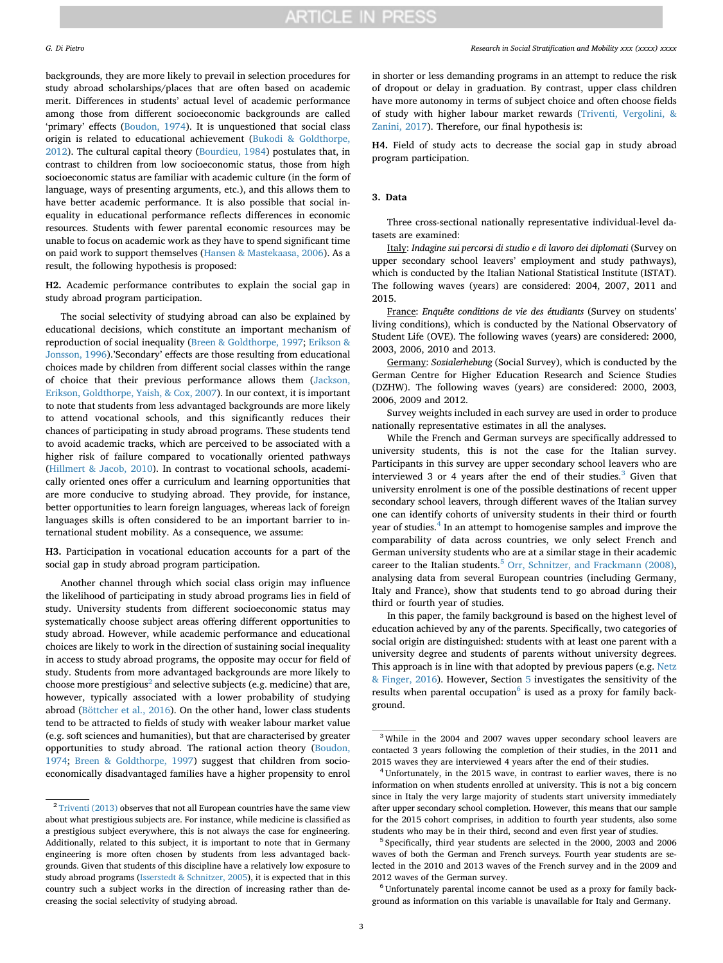backgrounds, they are more likely to prevail in selection procedures for study abroad scholarships/places that are often based on academic merit. Differences in students' actual level of academic performance among those from different socioeconomic backgrounds are called 'primary' effects [\(Boudon, 1974](#page-15-28)). It is unquestioned that social class origin is related to educational achievement [\(Bukodi & Goldthorpe,](#page-15-29) [2012\)](#page-15-29). The cultural capital theory [\(Bourdieu, 1984](#page-15-23)) postulates that, in contrast to children from low socioeconomic status, those from high socioeconomic status are familiar with academic culture (in the form of language, ways of presenting arguments, etc.), and this allows them to have better academic performance. It is also possible that social inequality in educational performance reflects differences in economic resources. Students with fewer parental economic resources may be unable to focus on academic work as they have to spend significant time on paid work to support themselves [\(Hansen & Mastekaasa, 2006\)](#page-15-30). As a result, the following hypothesis is proposed:

**H2.** Academic performance contributes to explain the social gap in study abroad program participation.

The social selectivity of studying abroad can also be explained by educational decisions, which constitute an important mechanism of reproduction of social inequality ([Breen & Goldthorpe, 1997;](#page-15-31) [Erikson &](#page-15-32) [Jonsson, 1996](#page-15-32)).'Secondary' effects are those resulting from educational choices made by children from different social classes within the range of choice that their previous performance allows them ([Jackson,](#page-15-33) [Erikson, Goldthorpe, Yaish, & Cox, 2007\)](#page-15-33). In our context, it is important to note that students from less advantaged backgrounds are more likely to attend vocational schools, and this significantly reduces their chances of participating in study abroad programs. These students tend to avoid academic tracks, which are perceived to be associated with a higher risk of failure compared to vocationally oriented pathways ([Hillmert & Jacob, 2010\)](#page-15-34). In contrast to vocational schools, academically oriented ones offer a curriculum and learning opportunities that are more conducive to studying abroad. They provide, for instance, better opportunities to learn foreign languages, whereas lack of foreign languages skills is often considered to be an important barrier to international student mobility. As a consequence, we assume:

**H3.** Participation in vocational education accounts for a part of the social gap in study abroad program participation.

Another channel through which social class origin may influence the likelihood of participating in study abroad programs lies in field of study. University students from different socioeconomic status may systematically choose subject areas offering different opportunities to study abroad. However, while academic performance and educational choices are likely to work in the direction of sustaining social inequality in access to study abroad programs, the opposite may occur for field of study. Students from more advantaged backgrounds are more likely to choose more prestigious<sup>2</sup> and selective subjects (e.g. medicine) that are, however, typically associated with a lower probability of studying abroad ([Böttcher et al., 2016](#page-15-35)). On the other hand, lower class students tend to be attracted to fields of study with weaker labour market value (e.g. soft sciences and humanities), but that are characterised by greater opportunities to study abroad. The rational action theory [\(Boudon,](#page-15-28) [1974;](#page-15-28) [Breen & Goldthorpe, 1997](#page-15-31)) suggest that children from socioeconomically disadvantaged families have a higher propensity to enrol in shorter or less demanding programs in an attempt to reduce the risk of dropout or delay in graduation. By contrast, upper class children have more autonomy in terms of subject choice and often choose fields of study with higher labour market rewards ([Triventi, Vergolini, &](#page-15-36) [Zanini, 2017\)](#page-15-36). Therefore, our final hypothesis is:

**H4.** Field of study acts to decrease the social gap in study abroad program participation.

### <span id="page-2-0"></span>**3. Data**

Three cross-sectional nationally representative individual-level datasets are examined:

Italy: *Indagine sui percorsi di studio e di lavoro dei diplomati* (Survey on upper secondary school leavers' employment and study pathways), which is conducted by the Italian National Statistical Institute (ISTAT). The following waves (years) are considered: 2004, 2007, 2011 and 2015.

France: *Enquête conditions de vie des étudiants* (Survey on students' living conditions), which is conducted by the National Observatory of Student Life (OVE). The following waves (years) are considered: 2000, 2003, 2006, 2010 and 2013.

Germany: *Sozialerhebung* (Social Survey), which is conducted by the German Centre for Higher Education Research and Science Studies (DZHW). The following waves (years) are considered: 2000, 2003, 2006, 2009 and 2012.

Survey weights included in each survey are used in order to produce nationally representative estimates in all the analyses.

While the French and German surveys are specifically addressed to university students, this is not the case for the Italian survey. Participants in this survey are upper secondary school leavers who are interviewed [3](#page-2-2) or 4 years after the end of their studies.<sup>3</sup> Given that university enrolment is one of the possible destinations of recent upper secondary school leavers, through different waves of the Italian survey one can identify cohorts of university students in their third or fourth year of studies.<sup>[4](#page-2-3)</sup> In an attempt to homogenise samples and improve the comparability of data across countries, we only select French and German university students who are at a similar stage in their academic career to the Italian students.<sup>[5](#page-2-4)</sup> [Orr, Schnitzer, and Frackmann \(2008\)](#page-15-37), analysing data from several European countries (including Germany, Italy and France), show that students tend to go abroad during their third or fourth year of studies.

In this paper, the family background is based on the highest level of education achieved by any of the parents. Specifically, two categories of social origin are distinguished: students with at least one parent with a university degree and students of parents without university degrees. This approach is in line with that adopted by previous papers (e.g. [Netz](#page-15-5) [& Finger, 2016](#page-15-5)). However, Section [5](#page-6-0) investigates the sensitivity of the results when parental occupation $<sup>6</sup>$  $<sup>6</sup>$  $<sup>6</sup>$  is used as a proxy for family back-</sup> ground.

<span id="page-2-1"></span> $^{\rm 2}$  [Triventi \(2013\)](#page-15-38) observes that not all European countries have the same view about what prestigious subjects are. For instance, while medicine is classified as a prestigious subject everywhere, this is not always the case for engineering. Additionally, related to this subject, it is important to note that in Germany engineering is more often chosen by students from less advantaged backgrounds. Given that students of this discipline have a relatively low exposure to study abroad programs [\(Isserstedt & Schnitzer, 2005\)](#page-15-39), it is expected that in this country such a subject works in the direction of increasing rather than decreasing the social selectivity of studying abroad.

<span id="page-2-2"></span><sup>3</sup> While in the 2004 and 2007 waves upper secondary school leavers are contacted 3 years following the completion of their studies, in the 2011 and 2015 waves they are interviewed 4 years after the end of their studies.

<span id="page-2-3"></span><sup>&</sup>lt;sup>4</sup> Unfortunately, in the 2015 wave, in contrast to earlier waves, there is no information on when students enrolled at university. This is not a big concern since in Italy the very large majority of students start university immediately after upper secondary school completion. However, this means that our sample for the 2015 cohort comprises, in addition to fourth year students, also some students who may be in their third, second and even first year of studies.

<span id="page-2-4"></span><sup>&</sup>lt;sup>5</sup> Specifically, third year students are selected in the 2000, 2003 and 2006 waves of both the German and French surveys. Fourth year students are selected in the 2010 and 2013 waves of the French survey and in the 2009 and 2012 waves of the German survey.

<span id="page-2-5"></span><sup>6</sup> Unfortunately parental income cannot be used as a proxy for family background as information on this variable is unavailable for Italy and Germany.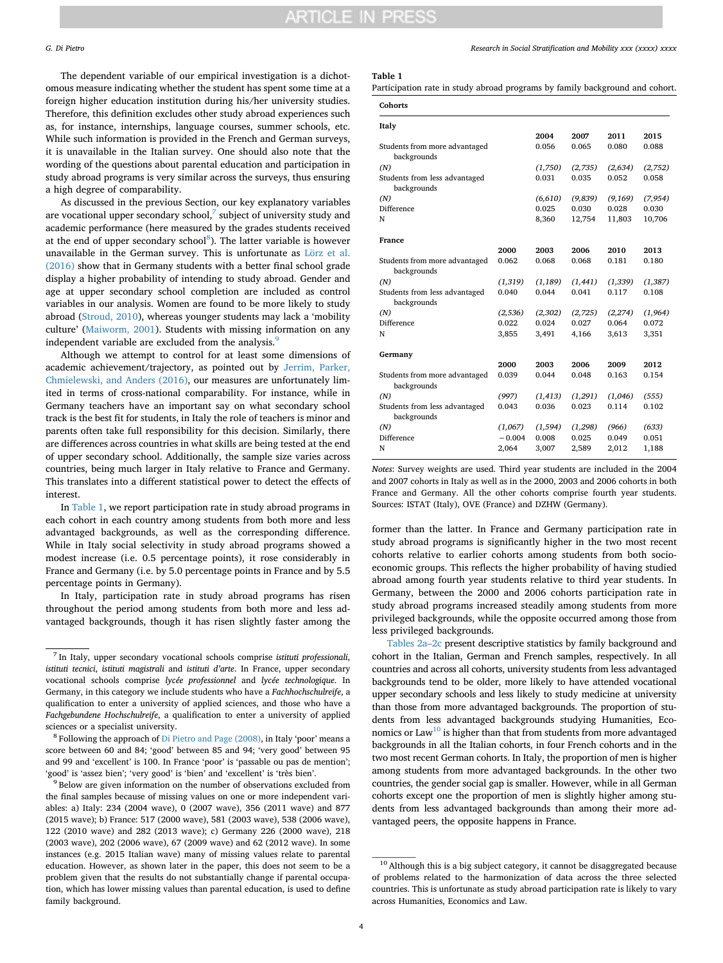The dependent variable of our empirical investigation is a dichotomous measure indicating whether the student has spent some time at a foreign higher education institution during his/her university studies. Therefore, this definition excludes other study abroad experiences such as, for instance, internships, language courses, summer schools, etc. While such information is provided in the French and German surveys, it is unavailable in the Italian survey. One should also note that the wording of the questions about parental education and participation in study abroad programs is very similar across the surveys, thus ensuring a high degree of comparability.

As discussed in the previous Section, our key explanatory variables are vocational upper secondary school, $<sup>7</sup>$  subject of university study and</sup> academic performance (here measured by the grades students received at the end of upper secondary school<sup>[8](#page-3-1)</sup>). The latter variable is however unavailable in the German survey. This is unfortunate as [Lörz et al.](#page-15-19) [\(2016\)](#page-15-19) show that in Germany students with a better final school grade display a higher probability of intending to study abroad. Gender and age at upper secondary school completion are included as control variables in our analysis. Women are found to be more likely to study abroad ([Stroud, 2010\)](#page-15-40), whereas younger students may lack a 'mobility culture' ([Maiworm, 2001\)](#page-15-41). Students with missing information on any independent variable are excluded from the analysis.<sup>[9](#page-3-2)</sup>

Although we attempt to control for at least some dimensions of academic achievement/trajectory, as pointed out by [Jerrim, Parker,](#page-15-42) [Chmielewski, and Anders \(2016\),](#page-15-42) our measures are unfortunately limited in terms of cross-national comparability. For instance, while in Germany teachers have an important say on what secondary school track is the best fit for students, in Italy the role of teachers is minor and parents often take full responsibility for this decision. Similarly, there are differences across countries in what skills are being tested at the end of upper secondary school. Additionally, the sample size varies across countries, being much larger in Italy relative to France and Germany. This translates into a different statistical power to detect the effects of interest.

In [Table 1](#page-3-3), we report participation rate in study abroad programs in each cohort in each country among students from both more and less advantaged backgrounds, as well as the corresponding difference. While in Italy social selectivity in study abroad programs showed a modest increase (i.e. 0.5 percentage points), it rose considerably in France and Germany (i.e. by 5.0 percentage points in France and by 5.5 percentage points in Germany).

In Italy, participation rate in study abroad programs has risen throughout the period among students from both more and less advantaged backgrounds, though it has risen slightly faster among the

### *G. Di Pietro Research in Social Stratification and Mobility xxx (xxxx) xxxx*

### <span id="page-3-3"></span>**Table 1**

Participation rate in study abroad programs by family background and cohort.

| Italy                                        |          |          |          |          |          |
|----------------------------------------------|----------|----------|----------|----------|----------|
|                                              |          | 2004     | 2007     | 2011     | 2015     |
| Students from more advantaged<br>backgrounds |          | 0.056    | 0.065    | 0.080    | 0.088    |
| (N)                                          |          | (1,750)  | (2,735)  | (2,634)  | (2,752)  |
| Students from less advantaged<br>backgrounds |          | 0.031    | 0.035    | 0.052    | 0.058    |
| (N)                                          |          | (6, 610) | (9,839)  | (9, 169) | (7, 954) |
| Difference                                   |          | 0.025    | 0.030    | 0.028    | 0.030    |
| N                                            |          | 8,360    | 12,754   | 11,803   | 10,706   |
| France                                       |          |          |          |          |          |
|                                              | 2000     | 2003     | 2006     | 2010     | 2013     |
| Students from more advantaged<br>backgrounds | 0.062    | 0.068    | 0.068    | 0.181    | 0.180    |
| (N)                                          | (1, 319) | (1, 189) | (1, 441) | (1, 339) | (1, 387) |
| Students from less advantaged<br>backgrounds | 0.040    | 0.044    | 0.041    | 0.117    | 0.108    |
| (N)                                          | (2,536)  | (2,302)  | (2,725)  | (2,274)  | (1,964)  |
| Difference                                   | 0.022    | 0.024    | 0.027    | 0.064    | 0.072    |
| N                                            | 3,855    | 3,491    | 4,166    | 3,613    | 3,351    |
| Germany                                      |          |          |          |          |          |
|                                              | 2000     | 2003     | 2006     | 2009     | 2012     |
| Students from more advantaged<br>backgrounds | 0.039    | 0.044    | 0.048    | 0.163    | 0.154    |
| (N)                                          | (997)    | (1, 413) | (1, 291) | (1,046)  | (555)    |
| Students from less advantaged<br>backgrounds | 0.043    | 0.036    | 0.023    | 0.114    | 0.102    |
| (N)                                          | (1,067)  | (1, 594) | (1,298)  | (966)    | (633)    |
| Difference                                   | $-0.004$ | 0.008    | 0.025    | 0.049    | 0.051    |
| N                                            | 2,064    | 3,007    | 2,589    | 2,012    | 1,188    |

*Notes*: Survey weights are used. Third year students are included in the 2004 and 2007 cohorts in Italy as well as in the 2000, 2003 and 2006 cohorts in both France and Germany. All the other cohorts comprise fourth year students. Sources: ISTAT (Italy), OVE (France) and DZHW (Germany).

former than the latter. In France and Germany participation rate in study abroad programs is significantly higher in the two most recent cohorts relative to earlier cohorts among students from both socioeconomic groups. This reflects the higher probability of having studied abroad among fourth year students relative to third year students. In Germany, between the 2000 and 2006 cohorts participation rate in study abroad programs increased steadily among students from more privileged backgrounds, while the opposite occurred among those from less privileged backgrounds.

[Tables 2a–2c](#page-4-1) present descriptive statistics by family background and cohort in the Italian, German and French samples, respectively. In all countries and across all cohorts, university students from less advantaged backgrounds tend to be older, more likely to have attended vocational upper secondary schools and less likely to study medicine at university than those from more advantaged backgrounds. The proportion of students from less advantaged backgrounds studying Humanities, Economics or  $Law^{10}$  $Law^{10}$  $Law^{10}$  is higher than that from students from more advantaged backgrounds in all the Italian cohorts, in four French cohorts and in the two most recent German cohorts. In Italy, the proportion of men is higher among students from more advantaged backgrounds. In the other two countries, the gender social gap is smaller. However, while in all German cohorts except one the proportion of men is slightly higher among students from less advantaged backgrounds than among their more advantaged peers, the opposite happens in France.

<span id="page-3-0"></span><sup>7</sup> In Italy, upper secondary vocational schools comprise *istituti professionali*, *istituti tecnici*, *istituti magistrali* and *istituti d'arte*. In France, upper secondary vocational schools comprise *lycée professionnel* and *lycée technologique*. In Germany, in this category we include students who have a *Fachhochschulreife*, a qualification to enter a university of applied sciences, and those who have a *Fachgebundene Hochschulreife*, a qualification to enter a university of applied sciences or a specialist university.

<span id="page-3-1"></span><sup>8</sup> Following the approach of [Di Pietro and Page \(2008\),](#page-15-16) in Italy 'poor' means a score between 60 and 84; 'good' between 85 and 94; 'very good' between 95 and 99 and 'excellent' is 100. In France 'poor' is 'passable ou pas de mention'; 'good' is 'assez bien'; 'very good' is 'bien' and 'excellent' is 'très bien'.

<span id="page-3-2"></span><sup>&</sup>lt;sup>9</sup> Below are given information on the number of observations excluded from the final samples because of missing values on one or more independent variables: a) Italy: 234 (2004 wave), 0 (2007 wave), 356 (2011 wave) and 877 (2015 wave); b) France: 517 (2000 wave), 581 (2003 wave), 538 (2006 wave), 122 (2010 wave) and 282 (2013 wave); c) Germany 226 (2000 wave), 218 (2003 wave), 202 (2006 wave), 67 (2009 wave) and 62 (2012 wave). In some instances (e.g. 2015 Italian wave) many of missing values relate to parental education. However, as shown later in the paper, this does not seem to be a problem given that the results do not substantially change if parental occupation, which has lower missing values than parental education, is used to define family background.

<span id="page-3-4"></span> $10$  Although this is a big subject category, it cannot be disaggregated because of problems related to the harmonization of data across the three selected countries. This is unfortunate as study abroad participation rate is likely to vary across Humanities, Economics and Law.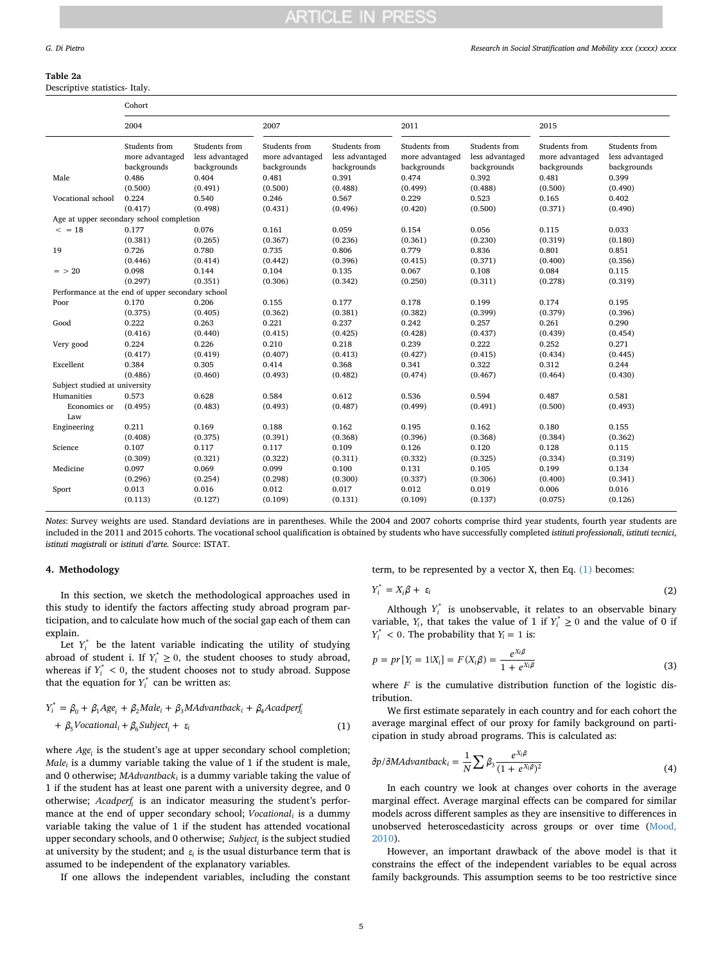### <span id="page-4-1"></span>**Table 2a**

Descriptive statistics- Italy.

|                               | Cohort                                                   |                                                          |                                                          |                                                          |                                                          |                                                          |                                                          |                                                          |
|-------------------------------|----------------------------------------------------------|----------------------------------------------------------|----------------------------------------------------------|----------------------------------------------------------|----------------------------------------------------------|----------------------------------------------------------|----------------------------------------------------------|----------------------------------------------------------|
|                               | 2004                                                     |                                                          | 2007                                                     |                                                          | 2011                                                     |                                                          | 2015                                                     |                                                          |
| Male                          | Students from<br>more advantaged<br>backgrounds<br>0.486 | Students from<br>less advantaged<br>backgrounds<br>0.404 | Students from<br>more advantaged<br>backgrounds<br>0.481 | Students from<br>less advantaged<br>backgrounds<br>0.391 | Students from<br>more advantaged<br>backgrounds<br>0.474 | Students from<br>less advantaged<br>backgrounds<br>0.392 | Students from<br>more advantaged<br>backgrounds<br>0.481 | Students from<br>less advantaged<br>backgrounds<br>0.399 |
| Vocational school             | (0.500)<br>0.224<br>(0.417)                              | (0.491)<br>0.540<br>(0.498)                              | (0.500)<br>0.246<br>(0.431)                              | (0.488)<br>0.567<br>(0.496)                              | (0.499)<br>0.229<br>(0.420)                              | (0.488)<br>0.523<br>(0.500)                              | (0.500)<br>0.165<br>(0.371)                              | (0.490)<br>0.402<br>(0.490)                              |
|                               | Age at upper secondary school completion                 |                                                          |                                                          |                                                          |                                                          |                                                          |                                                          |                                                          |
| $< = 18$                      | 0.177<br>(0.381)                                         | 0.076<br>(0.265)                                         | 0.161<br>(0.367)                                         | 0.059<br>(0.236)                                         | 0.154<br>(0.361)                                         | 0.056<br>(0.230)                                         | 0.115<br>(0.319)                                         | 0.033<br>(0.180)                                         |
| 19                            | 0.726<br>(0.446)                                         | 0.780<br>(0.414)                                         | 0.735<br>(0.442)                                         | 0.806<br>(0.396)                                         | 0.779<br>(0.415)                                         | 0.836<br>(0.371)                                         | 0.801<br>(0.400)                                         | 0.851<br>(0.356)                                         |
| $=$ > 20                      | 0.098<br>(0.297)                                         | 0.144<br>(0.351)                                         | 0.104<br>(0.306)                                         | 0.135<br>(0.342)                                         | 0.067<br>(0.250)                                         | 0.108<br>(0.311)                                         | 0.084<br>(0.278)                                         | 0.115<br>(0.319)                                         |
|                               | Performance at the end of upper secondary school         |                                                          |                                                          |                                                          |                                                          |                                                          |                                                          |                                                          |
| Poor                          | 0.170                                                    | 0.206                                                    | 0.155                                                    | 0.177                                                    | 0.178                                                    | 0.199                                                    | 0.174                                                    | 0.195                                                    |
|                               | (0.375)                                                  | (0.405)                                                  | (0.362)                                                  | (0.381)                                                  | (0.382)                                                  | (0.399)                                                  | (0.379)                                                  | (0.396)                                                  |
| Good                          | 0.222                                                    | 0.263                                                    | 0.221                                                    | 0.237                                                    | 0.242                                                    | 0.257                                                    | 0.261                                                    | 0.290                                                    |
|                               | (0.416)                                                  | (0.440)                                                  | (0.415)                                                  | (0.425)                                                  | (0.428)                                                  | (0.437)                                                  | (0.439)                                                  | (0.454)                                                  |
| Very good                     | 0.224                                                    | 0.226                                                    | 0.210                                                    | 0.218                                                    | 0.239                                                    | 0.222                                                    | 0.252                                                    | 0.271                                                    |
|                               | (0.417)                                                  | (0.419)                                                  | (0.407)                                                  | (0.413)                                                  | (0.427)                                                  | (0.415)                                                  | (0.434)                                                  | (0.445)                                                  |
| Excellent                     | 0.384                                                    | 0.305                                                    | 0.414                                                    | 0.368                                                    | 0.341                                                    | 0.322                                                    | 0.312                                                    | 0.244                                                    |
|                               | (0.486)                                                  | (0.460)                                                  | (0.493)                                                  | (0.482)                                                  | (0.474)                                                  | (0.467)                                                  | (0.464)                                                  | (0.430)                                                  |
| Subject studied at university |                                                          |                                                          |                                                          |                                                          |                                                          |                                                          |                                                          |                                                          |
| Humanities                    | 0.573                                                    | 0.628                                                    | 0.584                                                    | 0.612                                                    | 0.536                                                    | 0.594                                                    | 0.487                                                    | 0.581                                                    |
| Economics or<br>Law           | (0.495)                                                  | (0.483)                                                  | (0.493)                                                  | (0.487)                                                  | (0.499)                                                  | (0.491)                                                  | (0.500)                                                  | (0.493)                                                  |
|                               | 0.211                                                    | 0.169                                                    | 0.188                                                    | 0.162                                                    | 0.195                                                    | 0.162                                                    | 0.180                                                    | 0.155                                                    |
| Engineering                   | (0.408)                                                  | (0.375)                                                  | (0.391)                                                  | (0.368)                                                  | (0.396)                                                  | (0.368)                                                  | (0.384)                                                  | (0.362)                                                  |
| Science                       | 0.107                                                    | 0.117                                                    | 0.117                                                    | 0.109                                                    | 0.126                                                    | 0.120                                                    | 0.128                                                    | 0.115                                                    |
|                               | (0.309)                                                  | (0.321)                                                  | (0.322)                                                  | (0.311)                                                  | (0.332)                                                  | (0.325)                                                  | (0.334)                                                  | (0.319)                                                  |
| Medicine                      | 0.097                                                    | 0.069                                                    | 0.099                                                    | 0.100                                                    | 0.131                                                    | 0.105                                                    | 0.199                                                    | 0.134                                                    |
|                               | (0.296)                                                  | (0.254)                                                  | (0.298)                                                  | (0.300)                                                  | (0.337)                                                  | (0.306)                                                  | (0.400)                                                  | (0.341)                                                  |
| Sport                         | 0.013                                                    | 0.016                                                    | 0.012                                                    | 0.017                                                    | 0.012                                                    | 0.019                                                    | 0.006                                                    | 0.016                                                    |
|                               | (0.113)                                                  | (0.127)                                                  | (0.109)                                                  | (0.131)                                                  | (0.109)                                                  | (0.137)                                                  | (0.075)                                                  | (0.126)                                                  |

*Notes*: Survey weights are used. Standard deviations are in parentheses. While the 2004 and 2007 cohorts comprise third year students, fourth year students are included in the 2011 and 2015 cohorts. The vocational school qualification is obtained by students who have successfully completed *istituti professionali*, *istituti tecnici*, *istituti magistrali* or *istituti d'arte.* Source: ISTAT.

### <span id="page-4-0"></span>**4. Methodology**

In this section, we sketch the methodological approaches used in this study to identify the factors affecting study abroad program participation, and to calculate how much of the social gap each of them can explain.

Let  $Y_i^*$  be the latent variable indicating the utility of studying abroad of student i. If  $Y_i^* \geq 0$ , the student chooses to study abroad, whereas if  $Y_i^* < 0$ , the student chooses not to study abroad. Suppose that the equation for  $Y_i^*$  can be written as:

<span id="page-4-2"></span>
$$
Y_i^* = \beta_0 + \beta_1 Age_i + \beta_2 Male_i + \beta_3 Madvantback_i + \beta_4 Academy_i + \beta_5 Vocational_i + \beta_6 Subject_i + \varepsilon_i
$$
\n(1)

where  $Age_i$  is the student's age at upper secondary school completion;  $Male<sub>i</sub>$  is a dummy variable taking the value of 1 if the student is male, and 0 otherwise; *MAdvantbacki* is a dummy variable taking the value of 1 if the student has at least one parent with a university degree, and 0 otherwise; *Acadperfi* is an indicator measuring the student's performance at the end of upper secondary school; *Vocationali* is a dummy variable taking the value of 1 if the student has attended vocational upper secondary schools, and 0 otherwise; *Subject<sub>i</sub>* is the subject studied at university by the student; and  $\varepsilon_i$  is the usual disturbance term that is assumed to be independent of the explanatory variables.

If one allows the independent variables, including the constant

term, to be represented by a vector  $X$ , then Eq.  $(1)$  becomes:

$$
Y_i^* = X_i \beta + \varepsilon_i \tag{2}
$$

Although  $Y_i^*$  is unobservable, it relates to an observable binary variable,  $Y_i$ , that takes the value of 1 if  $Y_i^* \geq 0$  and the value of 0 if  $Y_i^*$  < 0. The probability that  $Y_i = 1$  is:

$$
p = pr[Y_i = 1 | X_i] = F(X_i \beta) = \frac{e^{X_i \beta}}{1 + e^{X_i \beta}}
$$
\n(3)

where  $F$  is the cumulative distribution function of the logistic distribution.

We first estimate separately in each country and for each cohort the average marginal effect of our proxy for family background on participation in study abroad programs. This is calculated as:

$$
\partial p/\partial M A \,dv \,antback_i = \frac{1}{N} \sum \beta_3 \frac{e^{X_i \beta}}{(1 + e^{X_i \beta})^2} \tag{4}
$$

In each country we look at changes over cohorts in the average marginal effect. Average marginal effects can be compared for similar models across different samples as they are insensitive to differences in unobserved heteroscedasticity across groups or over time [\(Mood,](#page-15-43) [2010\)](#page-15-43).

However, an important drawback of the above model is that it constrains the effect of the independent variables to be equal across family backgrounds. This assumption seems to be too restrictive since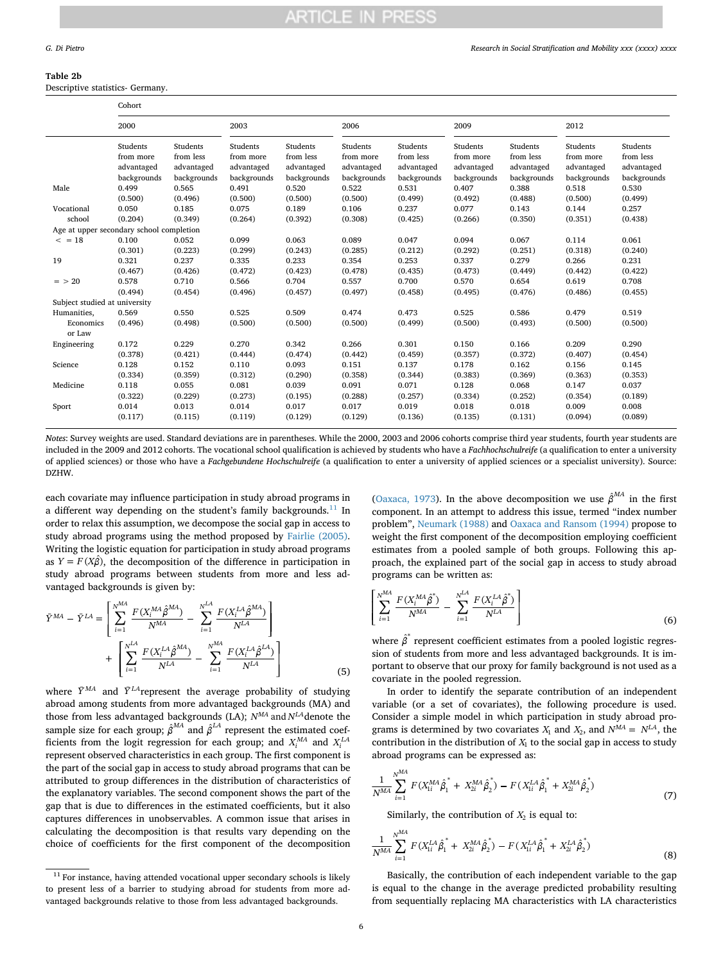### **Table 2b**

Descriptive statistics- Germany.

|                                                      | Cohort           |                  |                  |                  |                  |                  |                  |                  |                  |                  |  |
|------------------------------------------------------|------------------|------------------|------------------|------------------|------------------|------------------|------------------|------------------|------------------|------------------|--|
|                                                      | 2000             |                  | 2003             |                  | 2006             |                  | 2009             |                  | 2012             |                  |  |
|                                                      | Students         | Students         | Students         | Students         | Students         | Students         | Students         | Students         | Students         | Students         |  |
|                                                      | from more        | from less        | from more        | from less        | from more        | from less        | from more        | from less        | from more        | from less        |  |
|                                                      | advantaged       | advantaged       | advantaged       | advantaged       | advantaged       | advantaged       | advantaged       | advantaged       | advantaged       | advantaged       |  |
|                                                      | backgrounds      | backgrounds      | backgrounds      | backgrounds      | backgrounds      | backgrounds      | backgrounds      | backgrounds      | backgrounds      | backgrounds      |  |
| Male                                                 | 0.499            | 0.565            | 0.491            | 0.520            | 0.522            | 0.531            | 0.407            | 0.388            | 0.518            | 0.530            |  |
|                                                      | (0.500)          | (0.496)          | (0.500)          | (0.500)          | (0.500)          | (0.499)          | (0.492)          | (0.488)          | (0.500)          | (0.499)          |  |
| Vocational                                           | 0.050            | 0.185            | 0.075            | 0.189            | 0.106            | 0.237            | 0.077            | 0.143            | 0.144            | 0.257            |  |
| school                                               | (0.204)          | (0.349)          | (0.264)          | (0.392)          | (0.308)          | (0.425)          | (0.266)          | (0.350)          | (0.351)          | (0.438)          |  |
| Age at upper secondary school completion<br>$< = 18$ | 0.100            | 0.052            | 0.099            | 0.063            | 0.089            | 0.047            | 0.094            | 0.067            | 0.114            | 0.061            |  |
| 19                                                   | (0.301)          | (0.223)          | (0.299)          | (0.243)          | (0.285)          | (0.212)          | (0.292)          | (0.251)          | (0.318)          | (0.240)          |  |
|                                                      | 0.321            | 0.237            | 0.335            | 0.233            | 0.354            | 0.253            | 0.337            | 0.279            | 0.266            | 0.231            |  |
| $=$ > 20                                             | (0.467)          | (0.426)          | (0.472)          | (0.423)          | (0.478)          | (0.435)          | (0.473)          | (0.449)          | (0.442)          | (0.422)          |  |
|                                                      | 0.578            | 0.710            | 0.566            | 0.704            | 0.557            | 0.700            | 0.570            | 0.654            | 0.619            | 0.708            |  |
|                                                      | (0.494)          | (0.454)          | (0.496)          | (0.457)          | (0.497)          | (0.458)          | (0.495)          | (0.476)          | (0.486)          | (0.455)          |  |
| Subject studied at university                        |                  |                  |                  |                  |                  |                  |                  |                  |                  |                  |  |
| Humanities,<br>Economics<br>or Law                   | 0.569<br>(0.496) | 0.550<br>(0.498) | 0.525<br>(0.500) | 0.509<br>(0.500) | 0.474<br>(0.500) | 0.473<br>(0.499) | 0.525<br>(0.500) | 0.586<br>(0.493) | 0.479<br>(0.500) | 0.519<br>(0.500) |  |
| Engineering                                          | 0.172            | 0.229            | 0.270            | 0.342            | 0.266            | 0.301            | 0.150            | 0.166            | 0.209            | 0.290            |  |
|                                                      | (0.378)          | (0.421)          | (0.444)          | (0.474)          | (0.442)          | (0.459)          | (0.357)          | (0.372)          | (0.407)          | (0.454)          |  |
| Science                                              | 0.128            | 0.152            | 0.110            | 0.093            | 0.151            | 0.137            | 0.178            | 0.162            | 0.156            | 0.145            |  |
|                                                      | (0.334)          | (0.359)          | (0.312)          | (0.290)          | (0.358)          | (0.344)          | (0.383)          | (0.369)          | (0.363)          | (0.353)          |  |
| Medicine                                             | 0.118            | 0.055            | 0.081            | 0.039            | 0.091            | 0.071            | 0.128            | 0.068            | 0.147            | 0.037            |  |
|                                                      | (0.322)          | (0.229)          | (0.273)          | (0.195)          | (0.288)          | (0.257)          | (0.334)          | (0.252)          | (0.354)          | (0.189)          |  |
| Sport                                                | 0.014            | 0.013            | 0.014            | 0.017            | 0.017            | 0.019            | 0.018            | 0.018            | 0.009            | 0.008            |  |
|                                                      | (0.117)          | (0.115)          | (0.119)          | (0.129)          | (0.129)          | (0.136)          | (0.135)          | (0.131)          | (0.094)          | (0.089)          |  |

*Notes*: Survey weights are used. Standard deviations are in parentheses. While the 2000, 2003 and 2006 cohorts comprise third year students, fourth year students are included in the 2009 and 2012 cohorts. The vocational school qualification is achieved by students who have a *Fachhochschulreife* (a qualification to enter a university of applied sciences) or those who have a *Fachgebundene Hochschulreife* (a qualification to enter a university of applied sciences or a specialist university). Source: DZHW.

each covariate may influence participation in study abroad programs in a different way depending on the student's family backgrounds.<sup>[11](#page-5-0)</sup> In order to relax this assumption, we decompose the social gap in access to study abroad programs using the method proposed by [Fairlie \(2005\)](#page-15-44). Writing the logistic equation for participation in study abroad programs as  $Y = F(X\hat{\beta})$ , the decomposition of the difference in participation in study abroad programs between students from more and less advantaged backgrounds is given by:

$$
\bar{Y}^{MA} - \bar{Y}^{LA} = \left[ \sum_{i=1}^{N^{MA}} \frac{F(X_i^{MA}\hat{\beta}^{MA})}{N^{MA}} - \sum_{i=1}^{N^{LA}} \frac{F(X_i^{LA}\hat{\beta}^{MA})}{N^{LA}} \right] + \left[ \sum_{i=1}^{N^{LA}} \frac{F(X_i^{LA}\hat{\beta}^{MA})}{N^{LA}} - \sum_{i=1}^{N^{MA}} \frac{F(X_i^{LA}\hat{\beta}^{LA})}{N^{LA}} \right] \tag{5}
$$

where  $\bar{Y}^{MA}$  and  $\bar{Y}^{LA}$  represent the average probability of studying abroad among students from more advantaged backgrounds (MA) and those from less advantaged backgrounds (LA);  $N^{MA}$  and  $N^{LA}$  denote the sample size for each group;  $\hat{\beta}^{MA}$  and  $\hat{\beta}^{LA}$  represent the estimated coefficients from the logit regression for each group; and  $X_i^{MA}$  and  $X_i^{LA}$ represent observed characteristics in each group. The first component is the part of the social gap in access to study abroad programs that can be attributed to group differences in the distribution of characteristics of the explanatory variables. The second component shows the part of the gap that is due to differences in the estimated coefficients, but it also captures differences in unobservables. A common issue that arises in calculating the decomposition is that results vary depending on the choice of coefficients for the first component of the decomposition

([Oaxaca, 1973](#page-15-45)). In the above decomposition we use  $\hat{\beta}^{MA}$  in the first component. In an attempt to address this issue, termed "index number problem", [Neumark \(1988\)](#page-15-46) and [Oaxaca and Ransom \(1994\)](#page-15-47) propose to weight the first component of the decomposition employing coefficient estimates from a pooled sample of both groups. Following this approach, the explained part of the social gap in access to study abroad programs can be written as:

$$
\sum_{i=1}^{N^{MA}} \frac{F(X_i^{MA}\hat{\beta}^*)}{N^{MA}} - \sum_{i=1}^{N^{LA}} \frac{F(X_i^{LA}\hat{\beta}^*)}{N^{LA}} \right]
$$
(6)

where  $\hat{\beta}^*$  represent coefficient estimates from a pooled logistic regression of students from more and less advantaged backgrounds. It is important to observe that our proxy for family background is not used as a covariate in the pooled regression.

In order to identify the separate contribution of an independent variable (or a set of covariates), the following procedure is used. Consider a simple model in which participation in study abroad programs is determined by two covariates  $X_1$  and  $X_2$ , and  $N^{MA} = N^{LA}$ , the contribution in the distribution of  $X_1$  to the social gap in access to study abroad programs can be expressed as:

<span id="page-5-1"></span>
$$
\frac{1}{N^{MA}}\sum_{i=1}^{N^{MA}} F(X_{1i}^{MA}\hat{\beta}_{1}^{*} + X_{2i}^{MA}\hat{\beta}_{2}^{*}) - F(X_{1i}^{LA}\hat{\beta}_{1}^{*} + X_{2i}^{MA}\hat{\beta}_{2}^{*})
$$
\n(7)

<span id="page-5-2"></span>Similarly, the contribution of  $X_2$  is equal to:

$$
\frac{1}{N^{MA}} \sum_{i=1}^{N^{MA}} F(X_{1i}^{LA} \hat{\beta}_1^* + X_{2i}^{MA} \hat{\beta}_2^*) - F(X_{1i}^{LA} \hat{\beta}_1^* + X_{2i}^{LA} \hat{\beta}_2^*)
$$
(8)

Basically, the contribution of each independent variable to the gap is equal to the change in the average predicted probability resulting from sequentially replacing MA characteristics with LA characteristics

*MA*

<span id="page-5-0"></span> $^{11}$  For instance, having attended vocational upper secondary schools is likely to present less of a barrier to studying abroad for students from more advantaged backgrounds relative to those from less advantaged backgrounds.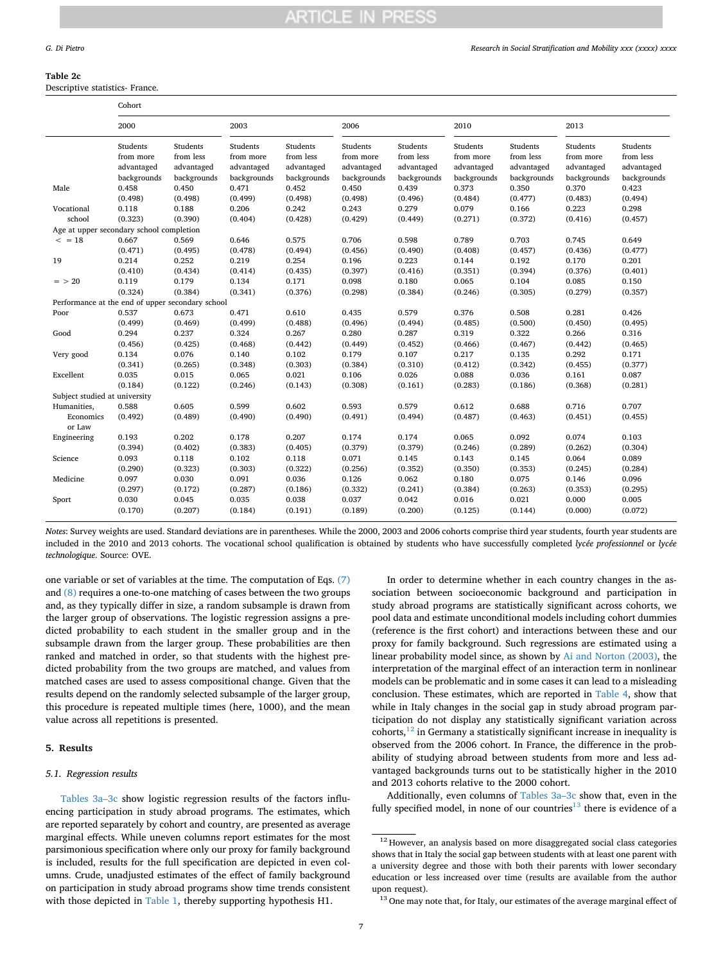### <span id="page-6-3"></span>**Table 2c**

Descriptive statistics- France.

|                                                  | Cohort                                             |                                                    |                                                    |                                                    |                                                    |                                                    |                                                    |                                                    |                                                    |                                                    |
|--------------------------------------------------|----------------------------------------------------|----------------------------------------------------|----------------------------------------------------|----------------------------------------------------|----------------------------------------------------|----------------------------------------------------|----------------------------------------------------|----------------------------------------------------|----------------------------------------------------|----------------------------------------------------|
|                                                  | 2000                                               |                                                    | 2003                                               |                                                    | 2006                                               |                                                    | 2010                                               |                                                    | 2013                                               |                                                    |
|                                                  | Students<br>from more<br>advantaged<br>backgrounds | Students<br>from less<br>advantaged<br>backgrounds | Students<br>from more<br>advantaged<br>backgrounds | Students<br>from less<br>advantaged<br>backgrounds | Students<br>from more<br>advantaged<br>backgrounds | Students<br>from less<br>advantaged<br>backgrounds | Students<br>from more<br>advantaged<br>backgrounds | Students<br>from less<br>advantaged<br>backgrounds | Students<br>from more<br>advantaged<br>backgrounds | Students<br>from less<br>advantaged<br>backgrounds |
| Male                                             | 0.458<br>(0.498)                                   | 0.450<br>(0.498)                                   | 0.471<br>(0.499)                                   | 0.452<br>(0.498)                                   | 0.450<br>(0.498)                                   | 0.439<br>(0.496)                                   | 0.373<br>(0.484)                                   | 0.350<br>(0.477)                                   | 0.370<br>(0.483)                                   | 0.423<br>(0.494)                                   |
| Vocational<br>school                             | 0.118<br>(0.323)                                   | 0.188<br>(0.390)                                   | 0.206<br>(0.404)                                   | 0.242<br>(0.428)                                   | 0.243<br>(0.429)                                   | 0.279<br>(0.449)                                   | 0.079<br>(0.271)                                   | 0.166<br>(0.372)                                   | 0.223<br>(0.416)                                   | 0.298<br>(0.457)                                   |
| Age at upper secondary school completion         |                                                    |                                                    |                                                    |                                                    |                                                    |                                                    |                                                    |                                                    |                                                    |                                                    |
| $< = 18$                                         | 0.667                                              | 0.569                                              | 0.646                                              | 0.575                                              | 0.706                                              | 0.598                                              | 0.789                                              | 0.703                                              | 0.745                                              | 0.649                                              |
|                                                  | (0.471)                                            | (0.495)                                            | (0.478)                                            | (0.494)                                            | (0.456)                                            | (0.490)                                            | (0.408)                                            | (0.457)                                            | (0.436)                                            | (0.477)                                            |
| 19                                               | 0.214                                              | 0.252                                              | 0.219                                              | 0.254                                              | 0.196                                              | 0.223                                              | 0.144                                              | 0.192                                              | 0.170                                              | 0.201                                              |
|                                                  | (0.410)                                            | (0.434)                                            | (0.414)                                            | (0.435)                                            | (0.397)                                            | (0.416)                                            | (0.351)                                            | (0.394)                                            | (0.376)                                            | (0.401)                                            |
| $=$ > 20                                         | 0.119                                              | 0.179                                              | 0.134                                              | 0.171                                              | 0.098                                              | 0.180                                              | 0.065                                              | 0.104                                              | 0.085                                              | 0.150                                              |
|                                                  | (0.324)                                            | (0.384)                                            | (0.341)                                            | (0.376)                                            | (0.298)                                            | (0.384)                                            | (0.246)                                            | (0.305)                                            | (0.279)                                            | (0.357)                                            |
| Performance at the end of upper secondary school |                                                    |                                                    |                                                    |                                                    |                                                    |                                                    |                                                    |                                                    |                                                    |                                                    |
| Poor                                             | 0.537                                              | 0.673                                              | 0.471                                              | 0.610                                              | 0.435                                              | 0.579                                              | 0.376                                              | 0.508                                              | 0.281                                              | 0.426                                              |
|                                                  | (0.499)                                            | (0.469)                                            | (0.499)                                            | (0.488)                                            | (0.496)                                            | (0.494)                                            | (0.485)                                            | (0.500)                                            | (0.450)                                            | (0.495)                                            |
| Good                                             | 0.294                                              | 0.237                                              | 0.324                                              | 0.267                                              | 0.280                                              | 0.287                                              | 0.319                                              | 0.322                                              | 0.266                                              | 0.316                                              |
|                                                  | (0.456)                                            | (0.425)                                            | (0.468)                                            | (0.442)                                            | (0.449)                                            | (0.452)                                            | (0.466)                                            | (0.467)                                            | (0.442)                                            | (0.465)                                            |
| Very good                                        | 0.134                                              | 0.076                                              | 0.140                                              | 0.102                                              | 0.179                                              | 0.107                                              | 0.217                                              | 0.135                                              | 0.292                                              | 0.171                                              |
|                                                  | (0.341)                                            | (0.265)                                            | (0.348)                                            | (0.303)                                            | (0.384)                                            | (0.310)                                            | (0.412)                                            | (0.342)                                            | (0.455)                                            | (0.377)                                            |
| Excellent                                        | 0.035                                              | 0.015                                              | 0.065                                              | 0.021                                              | 0.106                                              | 0.026                                              | 0.088                                              | 0.036                                              | 0.161                                              | 0.087                                              |
|                                                  | (0.184)                                            | (0.122)                                            | (0.246)                                            | (0.143)                                            | (0.308)                                            | (0.161)                                            | (0.283)                                            | (0.186)                                            | (0.368)                                            | (0.281)                                            |
| Subject studied at university                    |                                                    |                                                    |                                                    |                                                    |                                                    |                                                    |                                                    |                                                    |                                                    |                                                    |
| Humanities,                                      | 0.588                                              | 0.605                                              | 0.599                                              | 0.602                                              | 0.593                                              | 0.579                                              | 0.612                                              | 0.688                                              | 0.716                                              | 0.707                                              |
| Economics<br>or Law                              | (0.492)                                            | (0.489)                                            | (0.490)                                            | (0.490)                                            | (0.491)                                            | (0.494)                                            | (0.487)                                            | (0.463)                                            | (0.451)                                            | (0.455)                                            |
| Engineering                                      | 0.193                                              | 0.202                                              | 0.178                                              | 0.207                                              | 0.174                                              | 0.174                                              | 0.065                                              | 0.092                                              | 0.074                                              | 0.103                                              |
|                                                  | (0.394)                                            | (0.402)                                            | (0.383)                                            | (0.405)                                            | (0.379)                                            | (0.379)                                            | (0.246)                                            | (0.289)                                            | (0.262)                                            | (0.304)                                            |
| Science                                          | 0.093                                              | 0.118                                              | 0.102                                              | 0.118                                              | 0.071                                              | 0.145                                              | 0.143                                              | 0.145                                              | 0.064                                              | 0.089                                              |
|                                                  | (0.290)                                            | (0.323)                                            | (0.303)                                            | (0.322)                                            | (0.256)                                            | (0.352)                                            | (0.350)                                            | (0.353)                                            | (0.245)                                            | (0.284)                                            |
| Medicine                                         | 0.097                                              | 0.030                                              | 0.091                                              | 0.036                                              | 0.126                                              | 0.062                                              | 0.180                                              | 0.075                                              | 0.146                                              | 0.096                                              |
|                                                  | (0.297)                                            | (0.172)                                            | (0.287)                                            | (0.186)                                            | (0.332)                                            | (0.241)                                            | (0.384)                                            | (0.263)                                            | (0.353)                                            | (0.295)                                            |
| Sport                                            | 0.030                                              | 0.045                                              | 0.035                                              | 0.038                                              | 0.037                                              | 0.042                                              | 0.016                                              | 0.021                                              | 0.000                                              | 0.005                                              |
|                                                  | (0.170)                                            | (0.207)                                            | (0.184)                                            | (0.191)                                            | (0.189)                                            | (0.200)                                            | (0.125)                                            | (0.144)                                            | (0.000)                                            | (0.072)                                            |
|                                                  |                                                    |                                                    |                                                    |                                                    |                                                    |                                                    |                                                    |                                                    |                                                    |                                                    |

*Notes*: Survey weights are used. Standard deviations are in parentheses. While the 2000, 2003 and 2006 cohorts comprise third year students, fourth year students are included in the 2010 and 2013 cohorts. The vocational school qualification is obtained by students who have successfully completed *lycée professionnel* or *lycée technologique*. Source: OVE.

one variable or set of variables at the time. The computation of Eqs. [\(7\)](#page-5-1) and [\(8\)](#page-5-2) requires a one-to-one matching of cases between the two groups and, as they typically differ in size, a random subsample is drawn from the larger group of observations. The logistic regression assigns a predicted probability to each student in the smaller group and in the subsample drawn from the larger group. These probabilities are then ranked and matched in order, so that students with the highest predicted probability from the two groups are matched, and values from matched cases are used to assess compositional change. Given that the results depend on the randomly selected subsample of the larger group, this procedure is repeated multiple times (here, 1000), and the mean value across all repetitions is presented.

### <span id="page-6-0"></span>**5. Results**

### *5.1. Regression results*

[Tables 3a–3c](#page-7-0) show logistic regression results of the factors influencing participation in study abroad programs. The estimates, which are reported separately by cohort and country, are presented as average marginal effects. While uneven columns report estimates for the most parsimonious specification where only our proxy for family background is included, results for the full specification are depicted in even columns. Crude, unadjusted estimates of the effect of family background on participation in study abroad programs show time trends consistent with those depicted in [Table 1,](#page-3-3) thereby supporting hypothesis H1.

In order to determine whether in each country changes in the association between socioeconomic background and participation in study abroad programs are statistically significant across cohorts, we pool data and estimate unconditional models including cohort dummies (reference is the first cohort) and interactions between these and our proxy for family background. Such regressions are estimated using a linear probability model since, as shown by [Ai and Norton \(2003\),](#page-15-48) the interpretation of the marginal effect of an interaction term in nonlinear models can be problematic and in some cases it can lead to a misleading conclusion. These estimates, which are reported in [Table 4,](#page-9-0) show that while in Italy changes in the social gap in study abroad program participation do not display any statistically significant variation across  $\text{cohorts},$ <sup>[12](#page-6-1)</sup> in Germany a statistically significant increase in inequality is observed from the 2006 cohort. In France, the difference in the probability of studying abroad between students from more and less advantaged backgrounds turns out to be statistically higher in the 2010 and 2013 cohorts relative to the 2000 cohort.

Additionally, even columns of [Tables 3a–3c](#page-7-0) show that, even in the fully specified model, in none of our countries $^{13}$  $^{13}$  $^{13}$  there is evidence of a

<span id="page-6-1"></span> $12$  However, an analysis based on more disaggregated social class categories shows that in Italy the social gap between students with at least one parent with a university degree and those with both their parents with lower secondary education or less increased over time (results are available from the author upon request).

<span id="page-6-2"></span><sup>&</sup>lt;sup>13</sup> One may note that, for Italy, our estimates of the average marginal effect of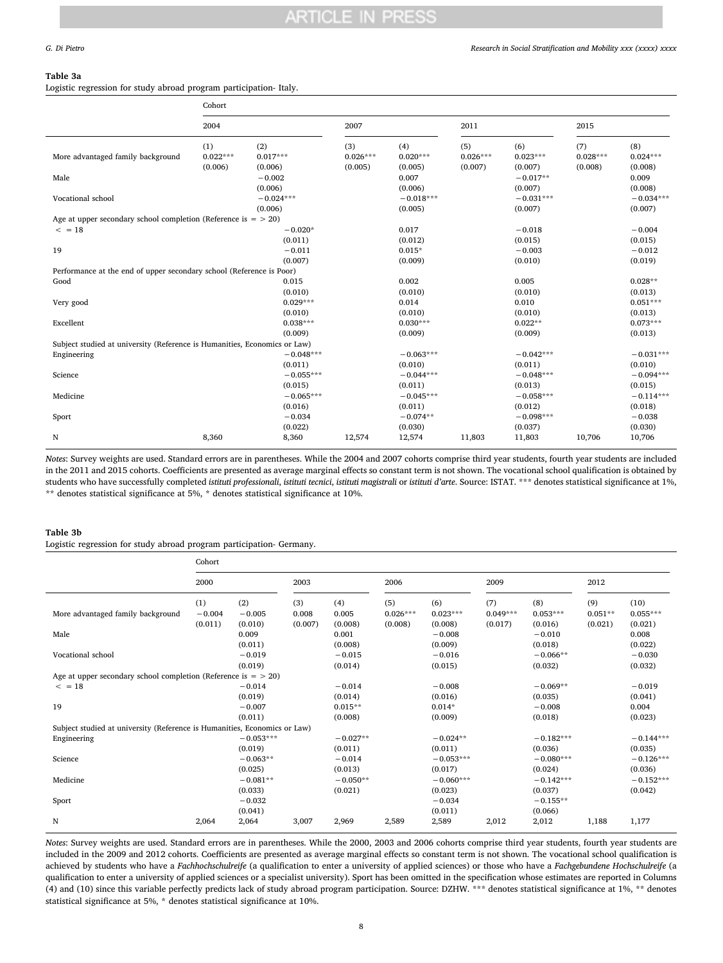### <span id="page-7-0"></span>**Table 3a**

Logistic regression for study abroad program participation- Italy.

|                                                                              | Cohort                       |                                  |                              |                              |                              |                              |                              |                                  |
|------------------------------------------------------------------------------|------------------------------|----------------------------------|------------------------------|------------------------------|------------------------------|------------------------------|------------------------------|----------------------------------|
|                                                                              | 2004                         |                                  | 2007                         |                              | 2011                         |                              | 2015                         |                                  |
| More advantaged family background                                            | (1)<br>$0.022***$<br>(0.006) | (2)<br>$0.017***$<br>(0.006)     | (3)<br>$0.026***$<br>(0.005) | (4)<br>$0.020***$<br>(0.005) | (5)<br>$0.026***$<br>(0.007) | (6)<br>$0.023***$<br>(0.007) | (7)<br>$0.028***$<br>(0.008) | (8)<br>$0.024***$<br>(0.008)     |
| Male                                                                         |                              | $-0.002$<br>(0.006)              |                              | 0.007<br>(0.006)             |                              | $-0.017**$<br>(0.007)        |                              | 0.009<br>(0.008)                 |
| Vocational school                                                            |                              | $-0.024***$<br>(0.006)           |                              | $-0.018***$<br>(0.005)       |                              | $-0.031***$<br>(0.007)       |                              | $-0.034***$<br>(0.007)           |
| Age at upper secondary school completion (Reference is $=$ > 20)<br>$< = 18$ |                              | $-0.020*$<br>(0.011)             |                              | 0.017<br>(0.012)             |                              | $-0.018$<br>(0.015)          |                              | $-0.004$<br>(0.015)              |
| 19                                                                           |                              | $-0.011$<br>(0.007)              |                              | $0.015*$<br>(0.009)          |                              | $-0.003$<br>(0.010)          |                              | $-0.012$<br>(0.019)              |
| Performance at the end of upper secondary school (Reference is Poor)         |                              |                                  |                              |                              |                              |                              |                              |                                  |
| Good                                                                         |                              | 0.015                            |                              | 0.002                        |                              | 0.005                        |                              | $0.028**$                        |
| Very good                                                                    |                              | (0.010)<br>$0.029***$<br>(0.010) |                              | (0.010)<br>0.014<br>(0.010)  |                              | (0.010)<br>0.010<br>(0.010)  |                              | (0.013)<br>$0.051***$<br>(0.013) |
| Excellent                                                                    |                              | $0.038***$<br>(0.009)            |                              | $0.030***$<br>(0.009)        |                              | $0.022**$<br>(0.009)         |                              | $0.073***$<br>(0.013)            |
| Subject studied at university (Reference is Humanities, Economics or Law)    |                              |                                  |                              |                              |                              |                              |                              |                                  |
| Engineering                                                                  |                              | $-0.048***$<br>(0.011)           |                              | $-0.063***$<br>(0.010)       |                              | $-0.042***$<br>(0.011)       |                              | $-0.031***$<br>(0.010)           |
| Science                                                                      |                              | $-0.055***$<br>(0.015)           |                              | $-0.044***$<br>(0.011)       |                              | $-0.048***$<br>(0.013)       |                              | $-0.094***$<br>(0.015)           |
| Medicine                                                                     |                              | $-0.065***$<br>(0.016)           |                              | $-0.045***$<br>(0.011)       |                              | $-0.058***$<br>(0.012)       |                              | $-0.114***$<br>(0.018)           |
| Sport                                                                        |                              | $-0.034$<br>(0.022)              |                              | $-0.074**$<br>(0.030)        |                              | $-0.098***$<br>(0.037)       |                              | $-0.038$<br>(0.030)              |
| N                                                                            | 8,360                        | 8,360                            | 12,574                       | 12,574                       | 11,803                       | 11,803                       | 10,706                       | 10,706                           |

*Notes*: Survey weights are used. Standard errors are in parentheses. While the 2004 and 2007 cohorts comprise third year students, fourth year students are included in the 2011 and 2015 cohorts. Coefficients are presented as average marginal effects so constant term is not shown. The vocational school qualification is obtained by students who have successfully completed *istituti professionali*, *istituti tecnici*, *istituti magistrali* or *istituti d'arte*. Source: ISTAT. \*\*\* denotes statistical significance at 1%, \*\* denotes statistical significance at 5%, \* denotes statistical significance at 10%.

### <span id="page-7-1"></span>**Table 3b** Logistic regression for study abroad program participation- Germany.

|                                                                           | Cohort                     |                            |                         |                         |                              |                              |                              |                              |                             |                               |
|---------------------------------------------------------------------------|----------------------------|----------------------------|-------------------------|-------------------------|------------------------------|------------------------------|------------------------------|------------------------------|-----------------------------|-------------------------------|
|                                                                           | 2000                       |                            | 2003                    |                         | 2006                         |                              | 2009                         |                              | 2012                        |                               |
| More advantaged family background                                         | (1)<br>$-0.004$<br>(0.011) | (2)<br>$-0.005$<br>(0.010) | (3)<br>0.008<br>(0.007) | (4)<br>0.005<br>(0.008) | (5)<br>$0.026***$<br>(0.008) | (6)<br>$0.023***$<br>(0.008) | (7)<br>$0.049***$<br>(0.017) | (8)<br>$0.053***$<br>(0.016) | (9)<br>$0.051**$<br>(0.021) | (10)<br>$0.055***$<br>(0.021) |
| Male                                                                      |                            | 0.009<br>(0.011)           |                         | 0.001<br>(0.008)        |                              | $-0.008$<br>(0.009)          |                              | $-0.010$<br>(0.018)          |                             | 0.008<br>(0.022)              |
| Vocational school                                                         |                            | $-0.019$<br>(0.019)        |                         | $-0.015$<br>(0.014)     |                              | $-0.016$<br>(0.015)          |                              | $-0.066**$<br>(0.032)        |                             | $-0.030$<br>(0.032)           |
| Age at upper secondary school completion (Reference is $=$ > 20)          |                            |                            |                         |                         |                              |                              |                              |                              |                             |                               |
| $< = 18$                                                                  |                            | $-0.014$                   |                         | $-0.014$                |                              | $-0.008$                     |                              | $-0.069**$                   |                             | $-0.019$                      |
|                                                                           |                            | (0.019)                    |                         | (0.014)                 |                              | (0.016)                      |                              | (0.035)                      |                             | (0.041)                       |
| 19                                                                        |                            | $-0.007$                   |                         | $0.015**$               |                              | $0.014*$                     |                              | $-0.008$                     |                             | 0.004                         |
|                                                                           |                            | (0.011)                    |                         | (0.008)                 |                              | (0.009)                      |                              | (0.018)                      |                             | (0.023)                       |
| Subject studied at university (Reference is Humanities, Economics or Law) |                            |                            |                         |                         |                              |                              |                              |                              |                             |                               |
| Engineering                                                               |                            | $-0.053***$                |                         | $-0.027**$              |                              | $-0.024**$                   |                              | $-0.182***$                  |                             | $-0.144***$                   |
|                                                                           |                            | (0.019)                    |                         | (0.011)                 |                              | (0.011)                      |                              | (0.036)                      |                             | (0.035)                       |
| Science                                                                   |                            | $-0.063**$                 |                         | $-0.014$                |                              | $-0.053***$                  |                              | $-0.080***$                  |                             | $-0.126***$                   |
|                                                                           |                            | (0.025)                    |                         | (0.013)                 |                              | (0.017)                      |                              | (0.024)                      |                             | (0.036)                       |
| Medicine                                                                  |                            | $-0.081**$                 |                         | $-0.050**$              |                              | $-0.060***$                  |                              | $-0.142***$                  |                             | $-0.152***$                   |
|                                                                           |                            | (0.033)                    |                         | (0.021)                 |                              | (0.023)                      |                              | (0.037)                      |                             | (0.042)                       |
| Sport                                                                     |                            | $-0.032$                   |                         |                         |                              | $-0.034$                     |                              | $-0.155**$                   |                             |                               |
|                                                                           |                            | (0.041)                    |                         |                         |                              | (0.011)                      |                              | (0.066)                      |                             |                               |
| N                                                                         | 2,064                      | 2,064                      | 3,007                   | 2,969                   | 2,589                        | 2,589                        | 2,012                        | 2,012                        | 1,188                       | 1,177                         |

*Notes*: Survey weights are used. Standard errors are in parentheses. While the 2000, 2003 and 2006 cohorts comprise third year students, fourth year students are included in the 2009 and 2012 cohorts. Coefficients are presented as average marginal effects so constant term is not shown. The vocational school qualification is achieved by students who have a *Fachhochschulreife* (a qualification to enter a university of applied sciences) or those who have a *Fachgebundene Hochschulreife* (a qualification to enter a university of applied sciences or a specialist university). Sport has been omitted in the specification whose estimates are reported in Columns (4) and (10) since this variable perfectly predicts lack of study abroad program participation. Source: DZHW. \*\*\* denotes statistical significance at 1%, \*\* denotes statistical significance at 5%, \* denotes statistical significance at 10%.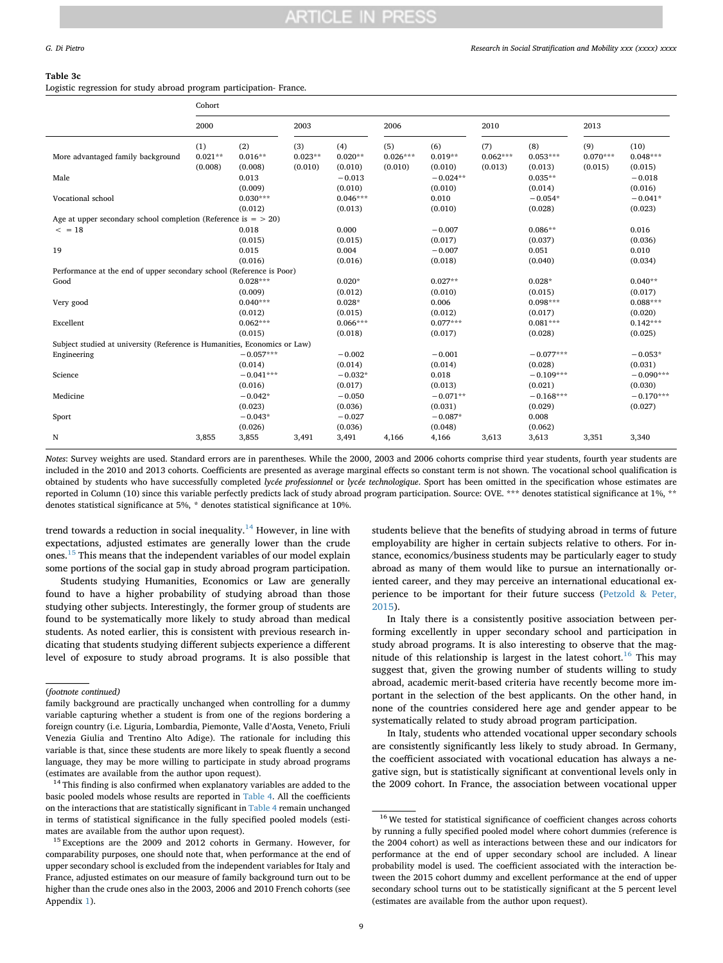### <span id="page-8-3"></span>**Table 3c**

Logistic regression for study abroad program participation- France.

|                                                                           | Cohort                      |                             |                             |                             |                              |                             |                              |                              |                              |                               |
|---------------------------------------------------------------------------|-----------------------------|-----------------------------|-----------------------------|-----------------------------|------------------------------|-----------------------------|------------------------------|------------------------------|------------------------------|-------------------------------|
|                                                                           | 2000                        |                             | 2003                        |                             | 2006                         |                             | 2010                         |                              | 2013                         |                               |
| More advantaged family background                                         | (1)<br>$0.021**$<br>(0.008) | (2)<br>$0.016**$<br>(0.008) | (3)<br>$0.023**$<br>(0.010) | (4)<br>$0.020**$<br>(0.010) | (5)<br>$0.026***$<br>(0.010) | (6)<br>$0.019**$<br>(0.010) | (7)<br>$0.062***$<br>(0.013) | (8)<br>$0.053***$<br>(0.013) | (9)<br>$0.070***$<br>(0.015) | (10)<br>$0.048***$<br>(0.015) |
| Male                                                                      |                             | 0.013<br>(0.009)            |                             | $-0.013$<br>(0.010)         |                              | $-0.024**$<br>(0.010)       |                              | $0.035**$<br>(0.014)         |                              | $-0.018$<br>(0.016)           |
| Vocational school                                                         |                             | $0.030***$<br>(0.012)       |                             | $0.046***$<br>(0.013)       |                              | 0.010<br>(0.010)            |                              | $-0.054*$<br>(0.028)         |                              | $-0.041*$<br>(0.023)          |
| Age at upper secondary school completion (Reference is $=$ > 20)          |                             |                             |                             |                             |                              |                             |                              |                              |                              |                               |
| $< = 18$                                                                  |                             | 0.018<br>(0.015)            |                             | 0.000<br>(0.015)            |                              | $-0.007$<br>(0.017)         |                              | $0.086**$<br>(0.037)         |                              | 0.016<br>(0.036)              |
| 19                                                                        |                             | 0.015<br>(0.016)            |                             | 0.004<br>(0.016)            |                              | $-0.007$<br>(0.018)         |                              | 0.051<br>(0.040)             |                              | 0.010<br>(0.034)              |
| Performance at the end of upper secondary school (Reference is Poor)      |                             |                             |                             |                             |                              |                             |                              |                              |                              |                               |
| Good                                                                      |                             | $0.028***$                  |                             | $0.020*$                    |                              | $0.027**$                   |                              | $0.028*$                     |                              | $0.040**$                     |
|                                                                           |                             | (0.009)                     |                             | (0.012)                     |                              | (0.010)                     |                              | (0.015)                      |                              | (0.017)                       |
| Very good                                                                 |                             | $0.040***$                  |                             | $0.028*$                    |                              | 0.006                       |                              | $0.098***$                   |                              | $0.088***$                    |
|                                                                           |                             | (0.012)                     |                             | (0.015)                     |                              | (0.012)                     |                              | (0.017)                      |                              | (0.020)                       |
| Excellent                                                                 |                             | $0.062***$                  |                             | $0.066***$                  |                              | $0.077***$                  |                              | $0.081***$                   |                              | $0.142***$                    |
|                                                                           |                             | (0.015)                     |                             | (0.018)                     |                              | (0.017)                     |                              | (0.028)                      |                              | (0.025)                       |
| Subject studied at university (Reference is Humanities, Economics or Law) |                             |                             |                             |                             |                              |                             |                              |                              |                              |                               |
| Engineering                                                               |                             | $-0.057***$                 |                             | $-0.002$                    |                              | $-0.001$                    |                              | $-0.077***$                  |                              | $-0.053*$                     |
|                                                                           |                             | (0.014)<br>$-0.041***$      |                             | (0.014)                     |                              | (0.014)                     |                              | (0.028)                      |                              | (0.031)                       |
| Science                                                                   |                             | (0.016)                     |                             | $-0.032*$<br>(0.017)        |                              | 0.018<br>(0.013)            |                              | $-0.109***$<br>(0.021)       |                              | $-0.090***$<br>(0.030)        |
| Medicine                                                                  |                             | $-0.042*$<br>(0.023)        |                             | $-0.050$<br>(0.036)         |                              | $-0.071**$<br>(0.031)       |                              | $-0.168***$<br>(0.029)       |                              | $-0.170***$<br>(0.027)        |
| Sport                                                                     |                             | $-0.043*$<br>(0.026)        |                             | $-0.027$<br>(0.036)         |                              | $-0.087*$<br>(0.048)        |                              | 0.008<br>(0.062)             |                              |                               |
| N                                                                         | 3,855                       | 3,855                       | 3,491                       | 3,491                       | 4,166                        | 4,166                       | 3,613                        | 3,613                        | 3,351                        | 3,340                         |

*Notes*: Survey weights are used. Standard errors are in parentheses. While the 2000, 2003 and 2006 cohorts comprise third year students, fourth year students are included in the 2010 and 2013 cohorts. Coefficients are presented as average marginal effects so constant term is not shown. The vocational school qualification is obtained by students who have successfully completed *lycée professionnel* or *lycée technologique*. Sport has been omitted in the specification whose estimates are reported in Column (10) since this variable perfectly predicts lack of study abroad program participation. Source: OVE. \*\*\* denotes statistical significance at 1%, \*\* denotes statistical significance at 5%, \* denotes statistical significance at 10%.

trend towards a reduction in social inequality.<sup>[14](#page-8-0)</sup> However, in line with expectations, adjusted estimates are generally lower than the crude ones.[15](#page-8-1) This means that the independent variables of our model explain some portions of the social gap in study abroad program participation.

Students studying Humanities, Economics or Law are generally found to have a higher probability of studying abroad than those studying other subjects. Interestingly, the former group of students are found to be systematically more likely to study abroad than medical students. As noted earlier, this is consistent with previous research indicating that students studying different subjects experience a different level of exposure to study abroad programs. It is also possible that

### (*footnote continued)*

students believe that the benefits of studying abroad in terms of future employability are higher in certain subjects relative to others. For instance, economics/business students may be particularly eager to study abroad as many of them would like to pursue an internationally oriented career, and they may perceive an international educational experience to be important for their future success [\(Petzold & Peter,](#page-15-49) [2015\)](#page-15-49).

In Italy there is a consistently positive association between performing excellently in upper secondary school and participation in study abroad programs. It is also interesting to observe that the mag-nitude of this relationship is largest in the latest cohort.<sup>[16](#page-8-2)</sup> This may suggest that, given the growing number of students willing to study abroad, academic merit-based criteria have recently become more important in the selection of the best applicants. On the other hand, in none of the countries considered here age and gender appear to be systematically related to study abroad program participation.

In Italy, students who attended vocational upper secondary schools are consistently significantly less likely to study abroad. In Germany, the coefficient associated with vocational education has always a negative sign, but is statistically significant at conventional levels only in the 2009 cohort. In France, the association between vocational upper

family background are practically unchanged when controlling for a dummy variable capturing whether a student is from one of the regions bordering a foreign country (i.e. Liguria, Lombardia, Piemonte, Valle d'Aosta, Veneto, Friuli Venezia Giulia and Trentino Alto Adige). The rationale for including this variable is that, since these students are more likely to speak fluently a second language, they may be more willing to participate in study abroad programs (estimates are available from the author upon request).

<span id="page-8-0"></span><sup>&</sup>lt;sup>14</sup> This finding is also confirmed when explanatory variables are added to the basic pooled models whose results are reported in [Table 4](#page-9-0). All the coefficients on the interactions that are statistically significant in [Table 4](#page-9-0) remain unchanged in terms of statistical significance in the fully specified pooled models (estimates are available from the author upon request).

<span id="page-8-1"></span><sup>&</sup>lt;sup>15</sup> Exceptions are the 2009 and 2012 cohorts in Germany. However, for comparability purposes, one should note that, when performance at the end of upper secondary school is excluded from the independent variables for Italy and France, adjusted estimates on our measure of family background turn out to be higher than the crude ones also in the 2003, 2006 and 2010 French cohorts (see Appendix [1](#page-0-4)).

<span id="page-8-2"></span><sup>&</sup>lt;sup>16</sup> We tested for statistical significance of coefficient changes across cohorts by running a fully specified pooled model where cohort dummies (reference is the 2004 cohort) as well as interactions between these and our indicators for performance at the end of upper secondary school are included. A linear probability model is used. The coefficient associated with the interaction between the 2015 cohort dummy and excellent performance at the end of upper secondary school turns out to be statistically significant at the 5 percent level (estimates are available from the author upon request).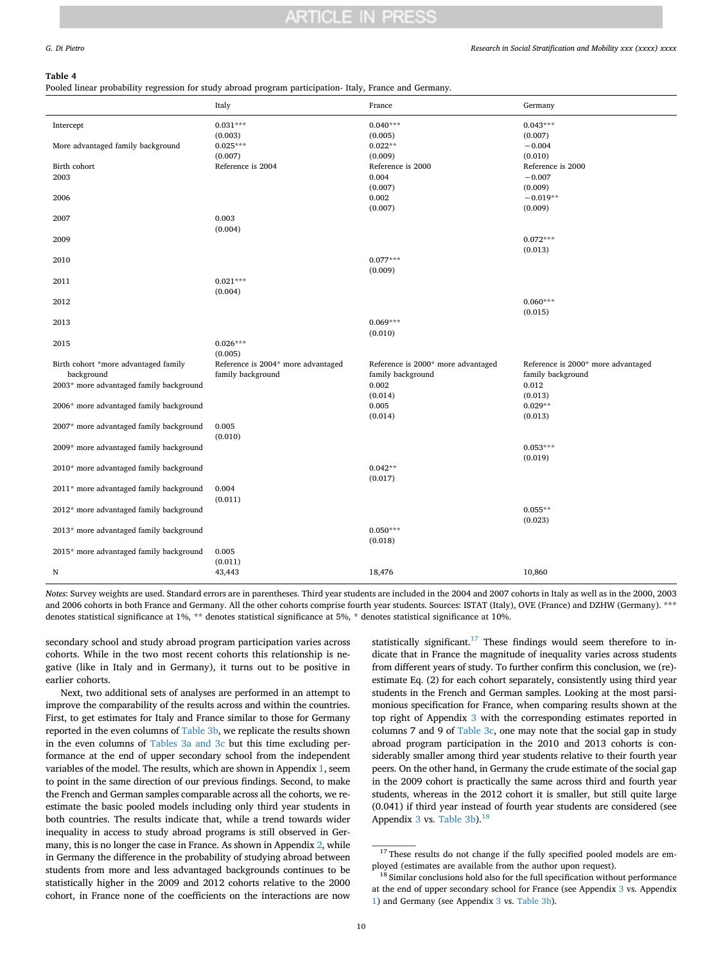### *G. Di Pietro Research in Social Stratification and Mobility xxx (xxxx) xxxx*

### <span id="page-9-0"></span>**Table 4**

Pooled linear probability regression for study abroad program participation- Italy, France and Germany.

|                                         | Italy                              | France                             | Germany                            |
|-----------------------------------------|------------------------------------|------------------------------------|------------------------------------|
| Intercept                               | $0.031***$                         | $0.040***$                         | $0.043***$                         |
|                                         | (0.003)                            | (0.005)                            | (0.007)                            |
| More advantaged family background       | $0.025***$                         | $0.022**$                          | $-0.004$                           |
|                                         | (0.007)                            | (0.009)                            | (0.010)                            |
| Birth cohort                            | Reference is 2004                  | Reference is 2000                  | Reference is 2000                  |
| 2003                                    |                                    | 0.004                              | $-0.007$                           |
|                                         |                                    | (0.007)                            | (0.009)                            |
| 2006                                    |                                    | 0.002                              | $-0.019**$                         |
|                                         |                                    | (0.007)                            | (0.009)                            |
| 2007                                    | 0.003<br>(0.004)                   |                                    |                                    |
| 2009                                    |                                    |                                    | $0.072***$                         |
|                                         |                                    |                                    | (0.013)                            |
| 2010                                    |                                    | $0.077***$                         |                                    |
|                                         |                                    | (0.009)                            |                                    |
| 2011                                    | $0.021***$                         |                                    |                                    |
|                                         | (0.004)                            |                                    |                                    |
| 2012                                    |                                    |                                    | $0.060***$                         |
|                                         |                                    |                                    | (0.015)                            |
| 2013                                    |                                    | $0.069***$                         |                                    |
|                                         |                                    | (0.010)                            |                                    |
| 2015                                    | $0.026***$                         |                                    |                                    |
|                                         | (0.005)                            |                                    |                                    |
| Birth cohort *more advantaged family    | Reference is 2004* more advantaged | Reference is 2000* more advantaged | Reference is 2000* more advantaged |
| background                              | family background                  | family background                  | family background                  |
| 2003* more advantaged family background |                                    | 0.002                              | 0.012                              |
|                                         |                                    | (0.014)                            | (0.013)                            |
| 2006* more advantaged family background |                                    | 0.005                              | $0.029**$                          |
|                                         |                                    | (0.014)                            | (0.013)                            |
| 2007* more advantaged family background | 0.005<br>(0.010)                   |                                    |                                    |
| 2009* more advantaged family background |                                    |                                    | $0.053***$                         |
|                                         |                                    |                                    | (0.019)                            |
| 2010* more advantaged family background |                                    | $0.042**$                          |                                    |
|                                         |                                    | (0.017)                            |                                    |
| 2011* more advantaged family background | 0.004                              |                                    |                                    |
|                                         | (0.011)                            |                                    |                                    |
| 2012* more advantaged family background |                                    |                                    | $0.055**$                          |
|                                         |                                    |                                    | (0.023)                            |
| 2013* more advantaged family background |                                    | $0.050***$                         |                                    |
|                                         |                                    | (0.018)                            |                                    |
| 2015* more advantaged family background | 0.005                              |                                    |                                    |
|                                         | (0.011)                            |                                    |                                    |
| N                                       | 43,443                             | 18,476                             | 10,860                             |
|                                         |                                    |                                    |                                    |

*Notes*: Survey weights are used. Standard errors are in parentheses. Third year students are included in the 2004 and 2007 cohorts in Italy as well as in the 2000, 2003 and 2006 cohorts in both France and Germany. All the other cohorts comprise fourth year students. Sources: ISTAT (Italy), OVE (France) and DZHW (Germany). \*\*\* denotes statistical significance at 1%, \*\* denotes statistical significance at 5%, \* denotes statistical significance at 10%.

secondary school and study abroad program participation varies across cohorts. While in the two most recent cohorts this relationship is negative (like in Italy and in Germany), it turns out to be positive in earlier cohorts.

Next, two additional sets of analyses are performed in an attempt to improve the comparability of the results across and within the countries. First, to get estimates for Italy and France similar to those for Germany reported in the even columns of [Table 3b,](#page-7-1) we replicate the results shown in the even columns of [Tables 3a and 3c](#page-7-0) but this time excluding performance at the end of upper secondary school from the independent variables of the model. The results, which are shown in Appendix [1](#page-0-4), seem to point in the same direction of our previous findings. Second, to make the French and German samples comparable across all the cohorts, we reestimate the basic pooled models including only third year students in both countries. The results indicate that, while a trend towards wider inequality in access to study abroad programs is still observed in Germany, this is no longer the case in France. As shown in Appendix [2](#page-1-0), while in Germany the difference in the probability of studying abroad between students from more and less advantaged backgrounds continues to be statistically higher in the 2009 and 2012 cohorts relative to the 2000 cohort, in France none of the coefficients on the interactions are now

statistically significant.<sup>[17](#page-9-1)</sup> These findings would seem therefore to indicate that in France the magnitude of inequality varies across students from different years of study. To further confirm this conclusion, we (re) estimate Eq. (2) for each cohort separately, consistently using third year students in the French and German samples. Looking at the most parsimonious specification for France, when comparing results shown at the top right of Appendix [3](#page-2-0) with the corresponding estimates reported in columns 7 and 9 of [Table 3c,](#page-8-3) one may note that the social gap in study abroad program participation in the 2010 and 2013 cohorts is considerably smaller among third year students relative to their fourth year peers. On the other hand, in Germany the crude estimate of the social gap in the 2009 cohort is practically the same across third and fourth year students, whereas in the 2012 cohort it is smaller, but still quite large (0.041) if third year instead of fourth year students are considered (see Appendix [3](#page-2-0) vs. [Table 3b\)](#page-7-1).<sup>18</sup>

<span id="page-9-1"></span><sup>&</sup>lt;sup>17</sup> These results do not change if the fully specified pooled models are employed (estimates are available from the author upon request).

<span id="page-9-2"></span> $18$  Similar conclusions hold also for the full specification without performance at the end of upper secondary school for France (see Appendix [3](#page-2-0) vs. Appendix [1\)](#page-0-4) and Germany (see Appendix [3](#page-2-0) vs. [Table 3b](#page-7-1)).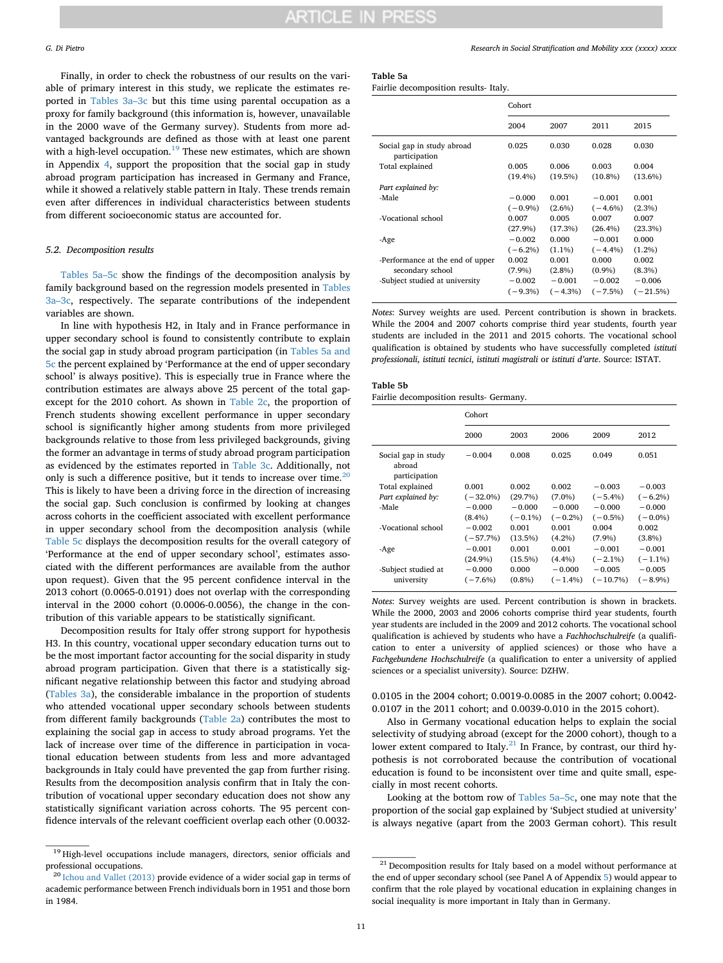Finally, in order to check the robustness of our results on the variable of primary interest in this study, we replicate the estimates reported in [Tables 3a–3c](#page-7-0) but this time using parental occupation as a proxy for family background (this information is, however, unavailable in the 2000 wave of the Germany survey). Students from more advantaged backgrounds are defined as those with at least one parent with a high-level occupation.<sup>[19](#page-10-0)</sup> These new estimates, which are shown in Appendix [4](#page-4-0), support the proposition that the social gap in study abroad program participation has increased in Germany and France, while it showed a relatively stable pattern in Italy. These trends remain even after differences in individual characteristics between students from different socioeconomic status are accounted for.

### *5.2. Decomposition results*

[Tables 5a–5c](#page-10-1) show the findings of the decomposition analysis by family background based on the regression models presented in [Tables](#page-7-0) [3a–3c](#page-7-0), respectively. The separate contributions of the independent variables are shown.

In line with hypothesis H2, in Italy and in France performance in upper secondary school is found to consistently contribute to explain the social gap in study abroad program participation (in [Tables 5a and](#page-10-1) [5c](#page-10-1) the percent explained by 'Performance at the end of upper secondary school' is always positive). This is especially true in France where the contribution estimates are always above 25 percent of the total gapexcept for the 2010 cohort. As shown in [Table 2c,](#page-6-3) the proportion of French students showing excellent performance in upper secondary school is significantly higher among students from more privileged backgrounds relative to those from less privileged backgrounds, giving the former an advantage in terms of study abroad program participation as evidenced by the estimates reported in [Table 3c.](#page-8-3) Additionally, not only is such a difference positive, but it tends to increase over time. $20$ This is likely to have been a driving force in the direction of increasing the social gap. Such conclusion is confirmed by looking at changes across cohorts in the coefficient associated with excellent performance in upper secondary school from the decomposition analysis (while [Table 5c](#page-11-1) displays the decomposition results for the overall category of 'Performance at the end of upper secondary school', estimates associated with the different performances are available from the author upon request). Given that the 95 percent confidence interval in the 2013 cohort (0.0065-0.0191) does not overlap with the corresponding interval in the 2000 cohort (0.0006-0.0056), the change in the contribution of this variable appears to be statistically significant.

Decomposition results for Italy offer strong support for hypothesis H3. In this country, vocational upper secondary education turns out to be the most important factor accounting for the social disparity in study abroad program participation. Given that there is a statistically significant negative relationship between this factor and studying abroad ([Tables 3a\)](#page-7-0), the considerable imbalance in the proportion of students who attended vocational upper secondary schools between students from different family backgrounds [\(Table 2a](#page-4-1)) contributes the most to explaining the social gap in access to study abroad programs. Yet the lack of increase over time of the difference in participation in vocational education between students from less and more advantaged backgrounds in Italy could have prevented the gap from further rising. Results from the decomposition analysis confirm that in Italy the contribution of vocational upper secondary education does not show any statistically significant variation across cohorts. The 95 percent confidence intervals of the relevant coefficient overlap each other (0.0032-

### *G. Di Pietro Research in Social Stratification and Mobility xxx (xxxx) xxxx*

### <span id="page-10-1"></span>**Table 5a**

|  | Fairlie decomposition results- Italy. |  |  |  |
|--|---------------------------------------|--|--|--|
|--|---------------------------------------|--|--|--|

|                                             | Cohort     |            |            |            |  |  |  |
|---------------------------------------------|------------|------------|------------|------------|--|--|--|
|                                             | 2004       | 2007       | 2011       | 2015       |  |  |  |
| Social gap in study abroad<br>participation | 0.025      | 0.030      | 0.028      | 0.030      |  |  |  |
| Total explained                             | 0.005      | 0.006      | 0.003      | 0.004      |  |  |  |
|                                             | $(19.4\%)$ | (19.5%)    | $(10.8\%)$ | $(13.6\%)$ |  |  |  |
| Part explained by:                          |            |            |            |            |  |  |  |
| -Male                                       | $-0.000$   | 0.001      | $-0.001$   | 0.001      |  |  |  |
|                                             | $(-0.9\%)$ | $(2.6\%)$  | $(-4.6\%)$ | $(2.3\%)$  |  |  |  |
| -Vocational school                          | 0.007      | 0.005      | 0.007      | 0.007      |  |  |  |
|                                             | $(27.9\%)$ | (17.3%)    | $(26.4\%)$ | (23.3%)    |  |  |  |
| -Age                                        | $-0.002$   | 0.000      | $-0.001$   | 0.000      |  |  |  |
|                                             | $(-6.2\%)$ | $(1.1\%)$  | $(-4.4\%)$ | $(1.2\%)$  |  |  |  |
| -Performance at the end of upper            | 0.002      | 0.001      | 0.000      | 0.002      |  |  |  |
| secondary school                            | $(7.9\%)$  | $(2.8\%)$  | $(0.9\%)$  | $(8.3\%)$  |  |  |  |
| -Subject studied at university              | $-0.002$   | $-0.001$   | $-0.002$   | $-0.006$   |  |  |  |
|                                             | $(-9.3\%)$ | $(-4.3\%)$ | $(-7.5%)$  | $(-21.5%)$ |  |  |  |

*Notes*: Survey weights are used. Percent contribution is shown in brackets. While the 2004 and 2007 cohorts comprise third year students, fourth year students are included in the 2011 and 2015 cohorts. The vocational school qualification is obtained by students who have successfully completed *istituti professionali*, *istituti tecnici*, *istituti magistrali* or *istituti d'arte*. Source: ISTAT.

### **Table 5b**

Fairlie decomposition results- Germany.

|                                                | Cohort      |            |            |             |            |  |  |
|------------------------------------------------|-------------|------------|------------|-------------|------------|--|--|
|                                                | 2000        | 2003       | 2006       | 2009        | 2012       |  |  |
| Social gap in study<br>abroad<br>participation | $-0.004$    | 0.008      | 0.025      | 0.049       | 0.051      |  |  |
| Total explained                                | 0.001       | 0.002      | 0.002      | $-0.003$    | $-0.003$   |  |  |
| Part explained by:                             | $(-32.0\%)$ | (29.7%)    | $(7.0\%)$  | $(-5.4\%)$  | $(-6.2\%)$ |  |  |
| -Male                                          | $-0.000$    | $-0.000$   | $-0.000$   | $-0.000$    | $-0.000$   |  |  |
|                                                | $(8.4\%)$   | $(-0.1\%)$ | $(-0.2\%)$ | $(-0.5\%)$  | $(-0.0\%)$ |  |  |
| -Vocational school                             | $-0.002$    | 0.001      | 0.001      | 0.004       | 0.002      |  |  |
|                                                | $(-57.7%)$  | (13.5%)    | $(4.2\%)$  | $(7.9\%)$   | $(3.8\%)$  |  |  |
| -Age                                           | $-0.001$    | 0.001      | 0.001      | $-0.001$    | $-0.001$   |  |  |
|                                                | $(24.9\%)$  | (15.5%)    | $(4.4\%)$  | $(-2.1\%)$  | $(-1.1\%)$ |  |  |
| -Subject studied at                            | $-0.000$    | 0.000      | $-0.000$   | $-0.005$    | $-0.005$   |  |  |
| university                                     | $(-7.6\%)$  | $(0.8\%)$  | $(-1.4\%)$ | $(-10.7\%)$ | $(-8.9\%)$ |  |  |

*Notes*: Survey weights are used. Percent contribution is shown in brackets. While the 2000, 2003 and 2006 cohorts comprise third year students, fourth year students are included in the 2009 and 2012 cohorts. The vocational school qualification is achieved by students who have a *Fachhochschulreife* (a qualification to enter a university of applied sciences) or those who have a *Fachgebundene Hochschulreife* (a qualification to enter a university of applied sciences or a specialist university). Source: DZHW.

0.0105 in the 2004 cohort; 0.0019-0.0085 in the 2007 cohort; 0.0042- 0.0107 in the 2011 cohort; and 0.0039-0.010 in the 2015 cohort).

Also in Germany vocational education helps to explain the social selectivity of studying abroad (except for the 2000 cohort), though to a lower extent compared to Italy.<sup>21</sup> In France, by contrast, our third hypothesis is not corroborated because the contribution of vocational education is found to be inconsistent over time and quite small, especially in most recent cohorts.

Looking at the bottom row of [Tables 5a–5c](#page-10-1), one may note that the proportion of the social gap explained by 'Subject studied at university' is always negative (apart from the 2003 German cohort). This result

<span id="page-10-0"></span><sup>&</sup>lt;sup>19</sup> High-level occupations include managers, directors, senior officials and professional occupations.

<span id="page-10-2"></span><sup>&</sup>lt;sup>20</sup> [Ichou and Vallet \(2013\)](#page-15-50) provide evidence of a wider social gap in terms of academic performance between French individuals born in 1951 and those born in 1984.

<span id="page-10-3"></span> $^{21}$  Decomposition results for Italy based on a model without performance at the end of upper secondary school (see Panel A of Appendix [5\)](#page-6-0) would appear to confirm that the role played by vocational education in explaining changes in social inequality is more important in Italy than in Germany.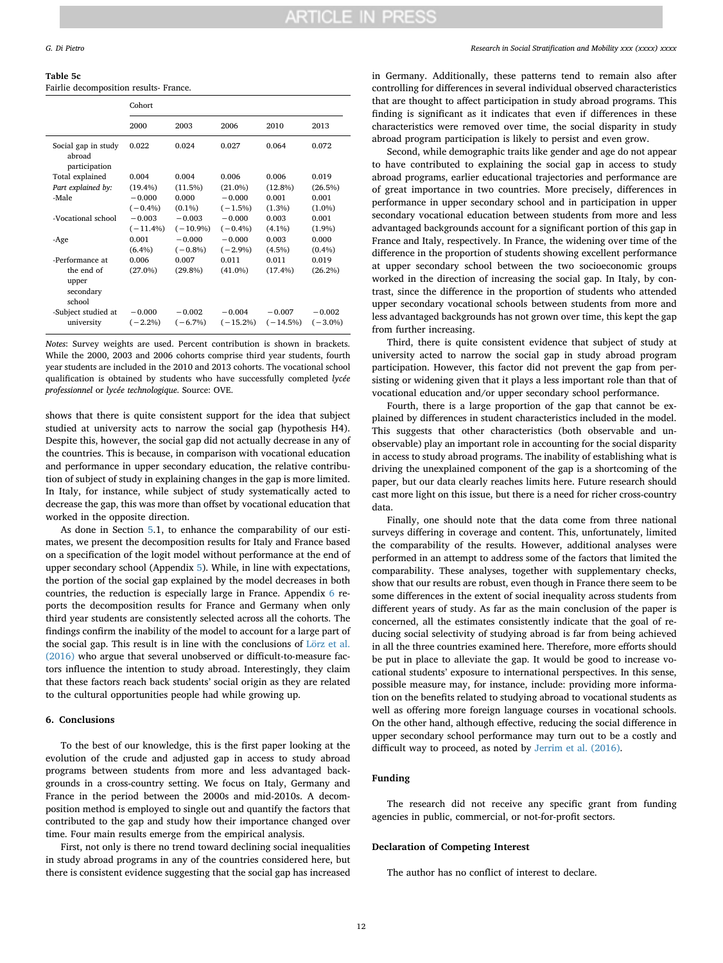### <span id="page-11-1"></span>**Table 5c**

Fairlie decomposition results- France.

|                                                | Cohort      |             |             |            |            |  |
|------------------------------------------------|-------------|-------------|-------------|------------|------------|--|
|                                                | 2000        | 2003        | 2006        | 2010       | 2013       |  |
| Social gap in study<br>abroad<br>participation | 0.022       | 0.024       | 0.027       | 0.064      | 0.072      |  |
| Total explained                                | 0.004       | 0.004       | 0.006       | 0.006      | 0.019      |  |
| Part explained by:                             | $(19.4\%)$  | (11.5%)     | $(21.0\%)$  | $(12.8\%)$ | $(26.5\%)$ |  |
| -Male                                          | $-0.000$    | 0.000       | $-0.000$    | 0.001      | 0.001      |  |
|                                                | $(-0.4\%)$  | $(0.1\%)$   | $(-1.5%)$   | $(1.3\%)$  | $(1.0\%)$  |  |
| -Vocational school                             | $-0.003$    | $-0.003$    | $-0.000$    | 0.003      | 0.001      |  |
|                                                | $(-11.4\%)$ | $(-10.9\%)$ | $(-0.4\%)$  | $(4.1\%)$  | $(1.9\%)$  |  |
| -Age                                           | 0.001       | $-0.000$    | $-0.000$    | 0.003      | 0.000      |  |
|                                                | $(6.4\%)$   | $(-0.8\%)$  | $(-2.9\%)$  | $(4.5\%)$  | $(0.4\%)$  |  |
| -Performance at                                | 0.006       | 0.007       | 0.011       | 0.011      | 0.019      |  |
| the end of                                     | $(27.0\%)$  | $(29.8\%)$  | $(41.0\%)$  | $(17.4\%)$ | $(26.2\%)$ |  |
| upper<br>secondary<br>school                   |             |             |             |            |            |  |
| -Subject studied at                            | $-0.000$    | $-0.002$    | $-0.004$    | $-0.007$   | $-0.002$   |  |
| university                                     | $(-2.2\%)$  | $(-6.7\%)$  | $(-15.2\%)$ | $(-14.5%)$ | $(-3.0\%)$ |  |

*Notes*: Survey weights are used. Percent contribution is shown in brackets. While the 2000, 2003 and 2006 cohorts comprise third year students, fourth year students are included in the 2010 and 2013 cohorts. The vocational school qualification is obtained by students who have successfully completed *lycée professionnel* or *lycée technologique*. Source: OVE.

shows that there is quite consistent support for the idea that subject studied at university acts to narrow the social gap (hypothesis H4). Despite this, however, the social gap did not actually decrease in any of the countries. This is because, in comparison with vocational education and performance in upper secondary education, the relative contribution of subject of study in explaining changes in the gap is more limited. In Italy, for instance, while subject of study systematically acted to decrease the gap, this was more than offset by vocational education that worked in the opposite direction.

As done in Section [5](#page-6-0).1, to enhance the comparability of our estimates, we present the decomposition results for Italy and France based on a specification of the logit model without performance at the end of upper secondary school (Appendix [5\)](#page-6-0). While, in line with expectations, the portion of the social gap explained by the model decreases in both countries, the reduction is especially large in France. Appendix [6](#page-11-0) reports the decomposition results for France and Germany when only third year students are consistently selected across all the cohorts. The findings confirm the inability of the model to account for a large part of the social gap. This result is in line with the conclusions of [Lörz et al.](#page-15-19) [\(2016\)](#page-15-19) who argue that several unobserved or difficult-to-measure factors influence the intention to study abroad. Interestingly, they claim that these factors reach back students' social origin as they are related to the cultural opportunities people had while growing up.

### <span id="page-11-0"></span>**6. Conclusions**

To the best of our knowledge, this is the first paper looking at the evolution of the crude and adjusted gap in access to study abroad programs between students from more and less advantaged backgrounds in a cross-country setting. We focus on Italy, Germany and France in the period between the 2000s and mid-2010s. A decomposition method is employed to single out and quantify the factors that contributed to the gap and study how their importance changed over time. Four main results emerge from the empirical analysis.

First, not only is there no trend toward declining social inequalities in study abroad programs in any of the countries considered here, but there is consistent evidence suggesting that the social gap has increased

in Germany. Additionally, these patterns tend to remain also after controlling for differences in several individual observed characteristics that are thought to affect participation in study abroad programs. This finding is significant as it indicates that even if differences in these characteristics were removed over time, the social disparity in study abroad program participation is likely to persist and even grow.

Second, while demographic traits like gender and age do not appear to have contributed to explaining the social gap in access to study abroad programs, earlier educational trajectories and performance are of great importance in two countries. More precisely, differences in performance in upper secondary school and in participation in upper secondary vocational education between students from more and less advantaged backgrounds account for a significant portion of this gap in France and Italy, respectively. In France, the widening over time of the difference in the proportion of students showing excellent performance at upper secondary school between the two socioeconomic groups worked in the direction of increasing the social gap. In Italy, by contrast, since the difference in the proportion of students who attended upper secondary vocational schools between students from more and less advantaged backgrounds has not grown over time, this kept the gap from further increasing.

Third, there is quite consistent evidence that subject of study at university acted to narrow the social gap in study abroad program participation. However, this factor did not prevent the gap from persisting or widening given that it plays a less important role than that of vocational education and/or upper secondary school performance.

Fourth, there is a large proportion of the gap that cannot be explained by differences in student characteristics included in the model. This suggests that other characteristics (both observable and unobservable) play an important role in accounting for the social disparity in access to study abroad programs. The inability of establishing what is driving the unexplained component of the gap is a shortcoming of the paper, but our data clearly reaches limits here. Future research should cast more light on this issue, but there is a need for richer cross-country data.

Finally, one should note that the data come from three national surveys differing in coverage and content. This, unfortunately, limited the comparability of the results. However, additional analyses were performed in an attempt to address some of the factors that limited the comparability. These analyses, together with supplementary checks, show that our results are robust, even though in France there seem to be some differences in the extent of social inequality across students from different years of study. As far as the main conclusion of the paper is concerned, all the estimates consistently indicate that the goal of reducing social selectivity of studying abroad is far from being achieved in all the three countries examined here. Therefore, more efforts should be put in place to alleviate the gap. It would be good to increase vocational students' exposure to international perspectives. In this sense, possible measure may, for instance, include: providing more information on the benefits related to studying abroad to vocational students as well as offering more foreign language courses in vocational schools. On the other hand, although effective, reducing the social difference in upper secondary school performance may turn out to be a costly and difficult way to proceed, as noted by [Jerrim et al. \(2016\).](#page-15-42)

### **Funding**

The research did not receive any specific grant from funding agencies in public, commercial, or not-for-profit sectors.

### **Declaration of Competing Interest**

The author has no conflict of interest to declare.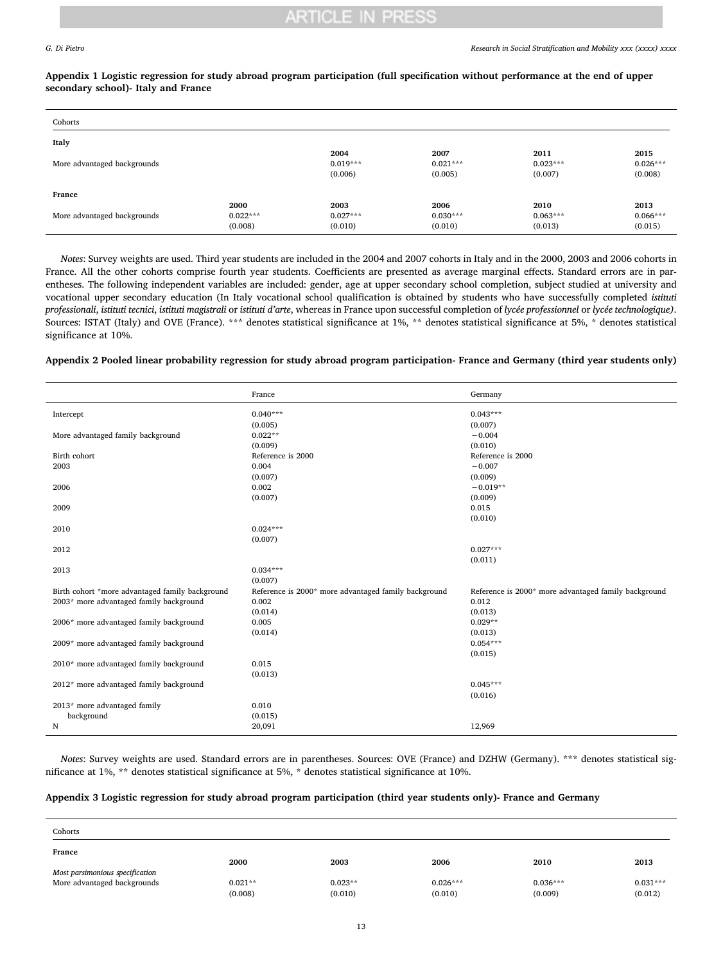**Appendix 1 Logistic regression for study abroad program participation (full specification without performance at the end of upper secondary school)- Italy and France**

| Cohorts                     |            |            |            |            |            |
|-----------------------------|------------|------------|------------|------------|------------|
| Italy                       |            |            |            |            |            |
|                             |            | 2004       | 2007       | 2011       | 2015       |
| More advantaged backgrounds |            | $0.019***$ | $0.021***$ | $0.023***$ | $0.026***$ |
|                             |            | (0.006)    | (0.005)    | (0.007)    | (0.008)    |
| France                      |            |            |            |            |            |
|                             | 2000       | 2003       | 2006       | 2010       | 2013       |
| More advantaged backgrounds | $0.022***$ | $0.027***$ | $0.030***$ | $0.063***$ | $0.066***$ |
|                             | (0.008)    | (0.010)    | (0.010)    | (0.013)    | (0.015)    |

*Notes*: Survey weights are used. Third year students are included in the 2004 and 2007 cohorts in Italy and in the 2000, 2003 and 2006 cohorts in France. All the other cohorts comprise fourth year students. Coefficients are presented as average marginal effects. Standard errors are in parentheses. The following independent variables are included: gender, age at upper secondary school completion, subject studied at university and vocational upper secondary education (In Italy vocational school qualification is obtained by students who have successfully completed *istituti professionali*, *istituti tecnici*, *istituti magistrali* or *istituti d'arte*, whereas in France upon successful completion of *lycée professionnel* or *lycée technologique)*. Sources: ISTAT (Italy) and OVE (France). \*\*\* denotes statistical significance at 1%, \*\* denotes statistical significance at 5%, \* denotes statistical significance at 10%.

**Appendix 2 Pooled linear probability regression for study abroad program participation- France and Germany (third year students only)**

|                                                 | France                                               | Germany                                              |
|-------------------------------------------------|------------------------------------------------------|------------------------------------------------------|
| Intercept                                       | $0.040***$                                           | $0.043***$                                           |
|                                                 | (0.005)                                              | (0.007)                                              |
| More advantaged family background               | $0.022**$                                            | $-0.004$                                             |
|                                                 | (0.009)                                              | (0.010)                                              |
| Birth cohort                                    | Reference is 2000                                    | Reference is 2000                                    |
| 2003                                            | 0.004                                                | $-0.007$                                             |
|                                                 | (0.007)                                              | (0.009)                                              |
| 2006                                            | 0.002                                                | $-0.019**$                                           |
|                                                 | (0.007)                                              | (0.009)                                              |
| 2009                                            |                                                      | 0.015                                                |
|                                                 |                                                      | (0.010)                                              |
| 2010                                            | $0.024***$                                           |                                                      |
|                                                 | (0.007)                                              |                                                      |
| 2012                                            |                                                      | $0.027***$                                           |
|                                                 |                                                      | (0.011)                                              |
| 2013                                            | $0.034***$                                           |                                                      |
|                                                 | (0.007)                                              |                                                      |
| Birth cohort *more advantaged family background | Reference is 2000* more advantaged family background | Reference is 2000* more advantaged family background |
| 2003* more advantaged family background         | 0.002                                                | 0.012                                                |
|                                                 | (0.014)                                              | (0.013)                                              |
| 2006* more advantaged family background         | 0.005                                                | $0.029**$                                            |
|                                                 | (0.014)                                              | (0.013)                                              |
| 2009* more advantaged family background         |                                                      | $0.054***$                                           |
|                                                 |                                                      | (0.015)                                              |
| 2010* more advantaged family background         | 0.015                                                |                                                      |
|                                                 | (0.013)                                              |                                                      |
| 2012* more advantaged family background         |                                                      | $0.045***$                                           |
|                                                 |                                                      | (0.016)                                              |
| 2013* more advantaged family                    | 0.010                                                |                                                      |
| background                                      | (0.015)                                              |                                                      |
| N                                               | 20,091                                               | 12,969                                               |

*Notes*: Survey weights are used. Standard errors are in parentheses. Sources: OVE (France) and DZHW (Germany). \*\*\* denotes statistical significance at 1%, \*\* denotes statistical significance at 5%, \* denotes statistical significance at 10%.

### **Appendix 3 Logistic regression for study abroad program participation (third year students only)- France and Germany**

| Cohorts                         |           |           |            |            |            |
|---------------------------------|-----------|-----------|------------|------------|------------|
| France                          |           |           |            |            |            |
| Most parsimonious specification | 2000      | 2003      | 2006       | 2010       | 2013       |
| More advantaged backgrounds     | $0.021**$ | $0.023**$ | $0.026***$ | $0.036***$ | $0.031***$ |
|                                 | (0.008)   | (0.010)   | (0.010)    | (0.009)    | (0.012)    |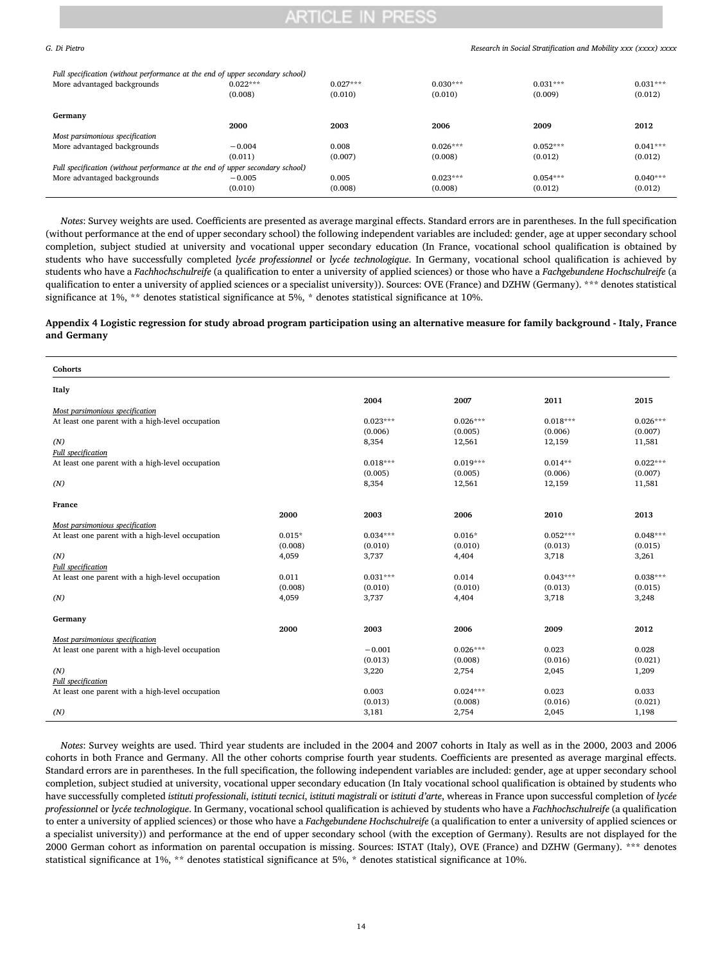### *G. Di Pietro Research in Social Stratification and Mobility xxx (xxxx) xxxx*

*Full specification (without performance at the end of upper secondary school)*

| $0.022***$                                                                    | $0.027***$ | $0.030***$ | $0.031***$ | $0.031***$ |
|-------------------------------------------------------------------------------|------------|------------|------------|------------|
| (0.008)                                                                       | (0.010)    | (0.010)    | (0.009)    | (0.012)    |
|                                                                               |            |            |            |            |
| 2000                                                                          | 2003       | 2006       | 2009       | 2012       |
|                                                                               |            |            |            |            |
| $-0.004$                                                                      | 0.008      | $0.026***$ | $0.052***$ | $0.041***$ |
| (0.011)                                                                       | (0.007)    | (0.008)    | (0.012)    | (0.012)    |
| Full specification (without performance at the end of upper secondary school) |            |            |            |            |
| $-0.005$                                                                      | 0.005      | $0.023***$ | $0.054***$ | $0.040***$ |
| (0.010)                                                                       | (0.008)    | (0.008)    | (0.012)    | (0.012)    |
|                                                                               |            |            |            |            |

*Notes*: Survey weights are used. Coefficients are presented as average marginal effects. Standard errors are in parentheses. In the full specification (without performance at the end of upper secondary school) the following independent variables are included: gender, age at upper secondary school completion, subject studied at university and vocational upper secondary education (In France, vocational school qualification is obtained by students who have successfully completed *lycée professionnel* or *lycée technologique*. In Germany, vocational school qualification is achieved by students who have a *Fachhochschulreife* (a qualification to enter a university of applied sciences) or those who have a *Fachgebundene Hochschulreife* (a qualification to enter a university of applied sciences or a specialist university)). Sources: OVE (France) and DZHW (Germany). \*\*\* denotes statistical significance at 1%, \*\* denotes statistical significance at 5%, \* denotes statistical significance at 10%.

### **Appendix 4 Logistic regression for study abroad program participation using an alternative measure for family background - Italy, France and Germany**

| Cohorts                                          |          |            |            |            |            |
|--------------------------------------------------|----------|------------|------------|------------|------------|
| Italy                                            |          |            |            |            |            |
|                                                  |          | 2004       | 2007       | 2011       | 2015       |
| Most parsimonious specification                  |          |            |            |            |            |
| At least one parent with a high-level occupation |          | $0.023***$ | $0.026***$ | $0.018***$ | $0.026***$ |
|                                                  |          | (0.006)    | (0.005)    | (0.006)    | (0.007)    |
| (N)                                              |          | 8,354      | 12,561     | 12,159     | 11,581     |
| <b>Full specification</b>                        |          |            |            |            |            |
| At least one parent with a high-level occupation |          | $0.018***$ | $0.019***$ | $0.014**$  | $0.022***$ |
|                                                  |          | (0.005)    | (0.005)    | (0.006)    | (0.007)    |
| (N)                                              |          | 8,354      | 12,561     | 12,159     | 11,581     |
| France                                           |          |            |            |            |            |
|                                                  | 2000     | 2003       | 2006       | 2010       | 2013       |
| Most parsimonious specification                  |          |            |            |            |            |
| At least one parent with a high-level occupation | $0.015*$ | $0.034***$ | $0.016*$   | $0.052***$ | $0.048***$ |
|                                                  | (0.008)  | (0.010)    | (0.010)    | (0.013)    | (0.015)    |
| (N)                                              | 4,059    | 3,737      | 4,404      | 3,718      | 3,261      |
| Full specification                               |          |            |            |            |            |
| At least one parent with a high-level occupation | 0.011    | $0.031***$ | 0.014      | $0.043***$ | $0.038***$ |
|                                                  | (0.008)  | (0.010)    | (0.010)    | (0.013)    | (0.015)    |
| (N)                                              | 4,059    | 3,737      | 4,404      | 3,718      | 3,248      |
| Germany                                          |          |            |            |            |            |
|                                                  | 2000     | 2003       | 2006       | 2009       | 2012       |
| Most parsimonious specification                  |          |            |            |            |            |
| At least one parent with a high-level occupation |          | $-0.001$   | $0.026***$ | 0.023      | 0.028      |
|                                                  |          | (0.013)    | (0.008)    | (0.016)    | (0.021)    |
| (N)                                              |          | 3,220      | 2,754      | 2,045      | 1,209      |
| <b>Full specification</b>                        |          |            |            |            |            |
| At least one parent with a high-level occupation |          | 0.003      | $0.024***$ | 0.023      | 0.033      |
|                                                  |          | (0.013)    | (0.008)    | (0.016)    | (0.021)    |
| (N)                                              |          | 3,181      | 2,754      | 2,045      | 1,198      |

*Notes*: Survey weights are used. Third year students are included in the 2004 and 2007 cohorts in Italy as well as in the 2000, 2003 and 2006 cohorts in both France and Germany. All the other cohorts comprise fourth year students. Coefficients are presented as average marginal effects. Standard errors are in parentheses. In the full specification, the following independent variables are included: gender, age at upper secondary school completion, subject studied at university, vocational upper secondary education (In Italy vocational school qualification is obtained by students who have successfully completed *istituti professionali*, *istituti tecnici*, *istituti magistrali* or *istituti d'arte*, whereas in France upon successful completion of *lycée professionnel* or *lycée technologique*. In Germany, vocational school qualification is achieved by students who have a *Fachhochschulreife* (a qualification to enter a university of applied sciences) or those who have a *Fachgebundene Hochschulreife* (a qualification to enter a university of applied sciences or a specialist university)) and performance at the end of upper secondary school (with the exception of Germany). Results are not displayed for the 2000 German cohort as information on parental occupation is missing. Sources: ISTAT (Italy), OVE (France) and DZHW (Germany). \*\*\* denotes statistical significance at 1%, \*\* denotes statistical significance at 5%, \* denotes statistical significance at 10%.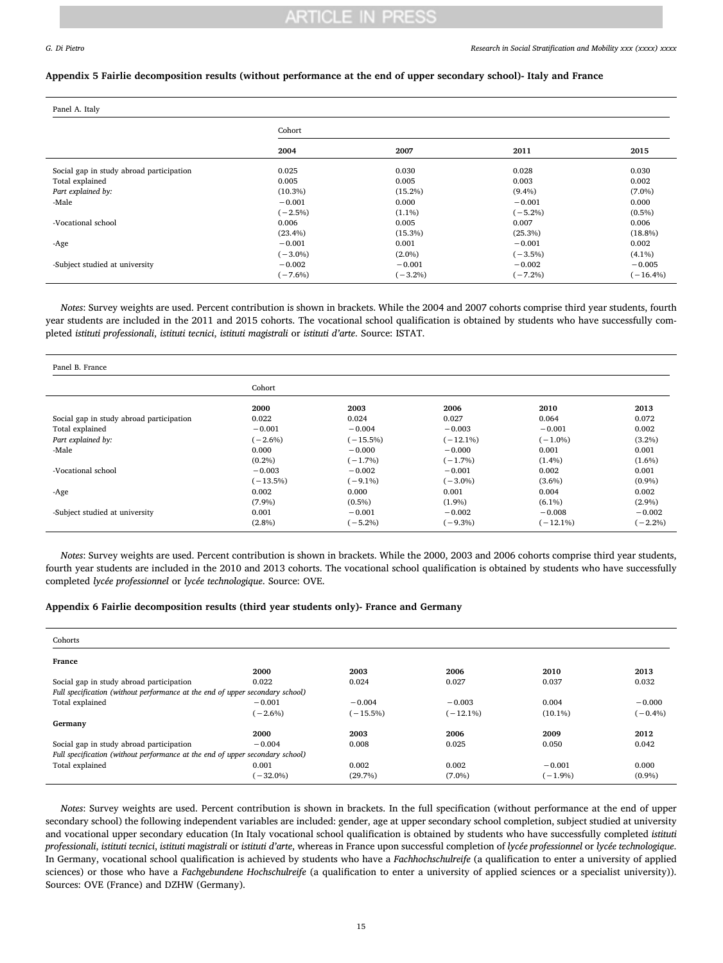# ARTICI E IN PRE

### **Appendix 5 Fairlie decomposition results (without performance at the end of upper secondary school)- Italy and France**

| Panel A. Italy                           |            |            |            |             |  |  |
|------------------------------------------|------------|------------|------------|-------------|--|--|
|                                          | Cohort     |            |            |             |  |  |
|                                          | 2004       | 2007       | 2011       | 2015        |  |  |
| Social gap in study abroad participation | 0.025      | 0.030      | 0.028      | 0.030       |  |  |
| Total explained                          | 0.005      | 0.005      | 0.003      | 0.002       |  |  |
| Part explained by:                       | $(10.3\%)$ | (15.2%)    | $(9.4\%)$  | $(7.0\%)$   |  |  |
| -Male                                    | $-0.001$   | 0.000      | $-0.001$   | 0.000       |  |  |
|                                          | $(-2.5%)$  | $(1.1\%)$  | $(-5.2\%)$ | $(0.5\%)$   |  |  |
| -Vocational school                       | 0.006      | 0.005      | 0.007      | 0.006       |  |  |
|                                          | $(23.4\%)$ | (15.3%)    | (25.3%)    | $(18.8\%)$  |  |  |
| -Age                                     | $-0.001$   | 0.001      | $-0.001$   | 0.002       |  |  |
|                                          | $(-3.0\%)$ | $(2.0\%)$  | $(-3.5\%)$ | $(4.1\%)$   |  |  |
| -Subject studied at university           | $-0.002$   | $-0.001$   | $-0.002$   | $-0.005$    |  |  |
|                                          | $(-7.6%)$  | $(-3.2\%)$ | $(-7.2\%)$ | $(-16.4\%)$ |  |  |

*Notes*: Survey weights are used. Percent contribution is shown in brackets. While the 2004 and 2007 cohorts comprise third year students, fourth year students are included in the 2011 and 2015 cohorts. The vocational school qualification is obtained by students who have successfully completed *istituti professionali*, *istituti tecnici*, *istituti magistrali* or *istituti d'arte*. Source: ISTAT.

| Panel B. France                          |            |            |             |             |            |
|------------------------------------------|------------|------------|-------------|-------------|------------|
|                                          | Cohort     |            |             |             |            |
|                                          | 2000       | 2003       | 2006        | 2010        | 2013       |
| Social gap in study abroad participation | 0.022      | 0.024      | 0.027       | 0.064       | 0.072      |
| Total explained                          | $-0.001$   | $-0.004$   | $-0.003$    | $-0.001$    | 0.002      |
| Part explained by:                       | $(-2.6%)$  | $(-15.5%)$ | $(-12.1\%)$ | $(-1.0\%)$  | $(3.2\%)$  |
| -Male                                    | 0.000      | $-0.000$   | $-0.000$    | 0.001       | 0.001      |
|                                          | $(0.2\%)$  | $(-1.7%)$  | $(-1.7%)$   | $(1.4\%)$   | $(1.6\%)$  |
| -Vocational school                       | $-0.003$   | $-0.002$   | $-0.001$    | 0.002       | 0.001      |
|                                          | $(-13.5%)$ | $(-9.1\%)$ | $(-3.0\%)$  | $(3.6\%)$   | $(0.9\%)$  |
| -Age                                     | 0.002      | 0.000      | 0.001       | 0.004       | 0.002      |
|                                          | $(7.9\%)$  | $(0.5\%)$  | $(1.9\%)$   | $(6.1\%)$   | $(2.9\%)$  |
| -Subject studied at university           | 0.001      | $-0.001$   | $-0.002$    | $-0.008$    | $-0.002$   |
|                                          | $(2.8\%)$  | $(-5.2\%)$ | $(-9.3\%)$  | $(-12.1\%)$ | $(-2.2\%)$ |

*Notes*: Survey weights are used. Percent contribution is shown in brackets. While the 2000, 2003 and 2006 cohorts comprise third year students, fourth year students are included in the 2010 and 2013 cohorts. The vocational school qualification is obtained by students who have successfully completed *lycée professionnel* or *lycée technologique*. Source: OVE.

### **Appendix 6 Fairlie decomposition results (third year students only)- France and Germany**

| Cohorts                                                                       |             |            |             |            |            |
|-------------------------------------------------------------------------------|-------------|------------|-------------|------------|------------|
| France                                                                        |             |            |             |            |            |
|                                                                               | 2000        | 2003       | 2006        | 2010       | 2013       |
| Social gap in study abroad participation                                      | 0.022       | 0.024      | 0.027       | 0.037      | 0.032      |
| Full specification (without performance at the end of upper secondary school) |             |            |             |            |            |
| Total explained                                                               | $-0.001$    | $-0.004$   | $-0.003$    | 0.004      | $-0.000$   |
|                                                                               | $(-2.6%)$   | $(-15.5%)$ | $(-12.1\%)$ | $(10.1\%)$ | $(-0.4\%)$ |
| Germany                                                                       |             |            |             |            |            |
|                                                                               | 2000        | 2003       | 2006        | 2009       | 2012       |
| Social gap in study abroad participation                                      | $-0.004$    | 0.008      | 0.025       | 0.050      | 0.042      |
| Full specification (without performance at the end of upper secondary school) |             |            |             |            |            |
| Total explained                                                               | 0.001       | 0.002      | 0.002       | $-0.001$   | 0.000      |
|                                                                               | $(-32.0\%)$ | (29.7%)    | $(7.0\%)$   | $(-1.9\%)$ | $(0.9\%)$  |

*Notes*: Survey weights are used. Percent contribution is shown in brackets. In the full specification (without performance at the end of upper secondary school) the following independent variables are included: gender, age at upper secondary school completion, subject studied at university and vocational upper secondary education (In Italy vocational school qualification is obtained by students who have successfully completed *istituti professionali*, *istituti tecnici*, *istituti magistrali* or *istituti d'arte*, whereas in France upon successful completion of *lycée professionnel* or *lycée technologique*. In Germany, vocational school qualification is achieved by students who have a *Fachhochschulreife* (a qualification to enter a university of applied sciences) or those who have a *Fachgebundene Hochschulreife* (a qualification to enter a university of applied sciences or a specialist university)). Sources: OVE (France) and DZHW (Germany).